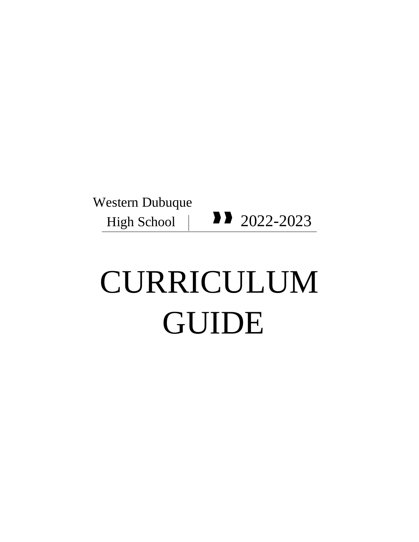## Western Dubuque High School  $\vert$  2022-2023

# CURRICULUM GUIDE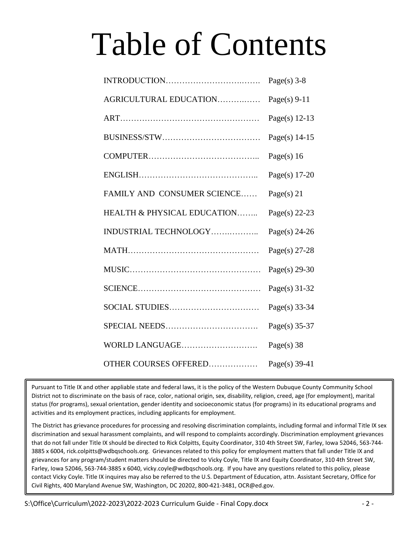# Table of Contents

|                                        | Page(s) $3-8$   |
|----------------------------------------|-----------------|
| AGRICULTURAL EDUCATION                 | Page(s) $9-11$  |
|                                        | Page(s) $12-13$ |
|                                        | Page(s) $14-15$ |
|                                        | Page(s) $16$    |
|                                        | Page(s) $17-20$ |
| FAMILY AND CONSUMER SCIENCE            | Page(s) $21$    |
| <b>HEALTH &amp; PHYSICAL EDUCATION</b> | Page(s) $22-23$ |
| INDUSTRIAL TECHNOLOGY                  | Page(s) $24-26$ |
|                                        | Page(s) $27-28$ |
|                                        | Page(s) $29-30$ |
|                                        | Page(s) 31-32   |
|                                        | Page(s) $33-34$ |
|                                        | Page(s) $35-37$ |
| WORLD LANGUAGE                         | Page(s) $38$    |
| OTHER COURSES OFFERED                  | Page(s) $39-41$ |

Pursuant to Title IX and other appliable state and federal laws, it is the policy of the Western Dubuque County Community School District not to discriminate on the basis of race, color, national origin, sex, disability, religion, creed, age (for employment), marital status (for programs), sexual orientation, gender identity and socioeconomic status (for programs) in its educational programs and activities and its employment practices, including applicants for employment.

The District has grievance procedures for processing and resolving discrimination complaints, including formal and informal Title IX sex discrimination and sexual harassment complaints, and will respond to complaints accordingly. Discrimination employment grievances that do not fall under Title IX should be directed to Rick Colpitts, Equity Coordinator, 310 4th Street SW, Farley, Iowa 52046, 563-744- 3885 x 6004, rick.colpitts@wdbqschools.org.  Grievances related to this policy for employment matters that fall under Title IX and grievances for any program/student matters should be directed to Vicky Coyle, Title IX and Equity Coordinator, 310 4th Street SW, Farley, Iowa 52046, 563-744-3885 x 6040, vicky.coyle@wdbqschools.org.  If you have any questions related to this policy, please contact Vicky Coyle. Title IX inquires may also be referred to the U.S. Department of Education, attn. Assistant Secretary, Office for Civil Rights, 400 Maryland Avenue SW, Washington, DC 20202, 800-421-3481, OCR@ed.gov.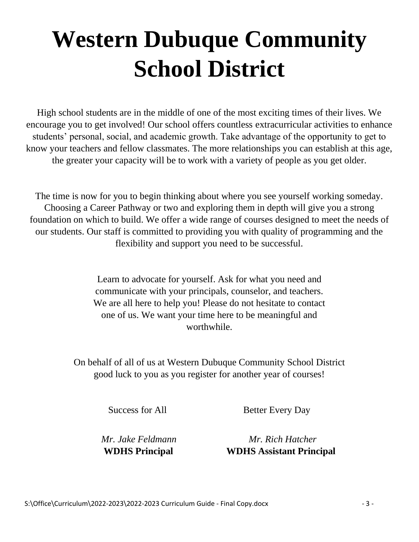## **Western Dubuque Community School District**

High school students are in the middle of one of the most exciting times of their lives. We encourage you to get involved! Our school offers countless extracurricular activities to enhance students' personal, social, and academic growth. Take advantage of the opportunity to get to know your teachers and fellow classmates. The more relationships you can establish at this age, the greater your capacity will be to work with a variety of people as you get older.

The time is now for you to begin thinking about where you see yourself working someday. Choosing a Career Pathway or two and exploring them in depth will give you a strong foundation on which to build. We offer a wide range of courses designed to meet the needs of our students. Our staff is committed to providing you with quality of programming and the flexibility and support you need to be successful.

> Learn to advocate for yourself. Ask for what you need and communicate with your principals, counselor, and teachers. We are all here to help you! Please do not hesitate to contact one of us. We want your time here to be meaningful and worthwhile.

On behalf of all of us at Western Dubuque Community School District good luck to you as you register for another year of courses!

Success for All Better Every Day

 *Mr. Jake Feldmann Mr. Rich Hatcher*  **WDHS Principal****WDHS Assistant Principal**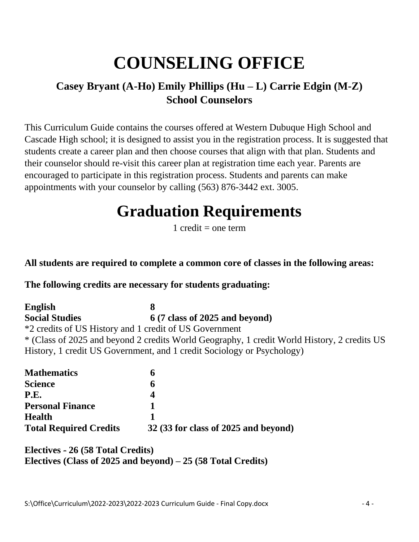## **COUNSELING OFFICE**

### **Casey Bryant (A-Ho) Emily Phillips (Hu – L) Carrie Edgin (M-Z) School Counselors**

This Curriculum Guide contains the courses offered at Western Dubuque High School and Cascade High school; it is designed to assist you in the registration process. It is suggested that students create a career plan and then choose courses that align with that plan. Students and their counselor should re-visit this career plan at registration time each year. Parents are encouraged to participate in this registration process. Students and parents can make appointments with your counselor by calling (563) 876-3442 ext. 3005.

## **Graduation Requirements**

1 credit  $=$  one term

#### **All students are required to complete a common core of classes in the following areas:**

#### **The following credits are necessary for students graduating:**

**English 8 Social Studies 6 (7 class of 2025 and beyond)** \*2 credits of US History and 1 credit of US Government \* (Class of 2025 and beyond 2 credits World Geography, 1 credit World History, 2 credits US History, 1 credit US Government, and 1 credit Sociology or Psychology)

| <b>Mathematics</b>            | n                                    |
|-------------------------------|--------------------------------------|
| <b>Science</b>                |                                      |
| <b>P.E.</b>                   |                                      |
| <b>Personal Finance</b>       |                                      |
| <b>Health</b>                 |                                      |
| <b>Total Required Credits</b> | 32 (33 for class of 2025 and beyond) |

#### **Electives - 26 (58 Total Credits) Electives (Class of 2025 and beyond) – 25 (58 Total Credits)**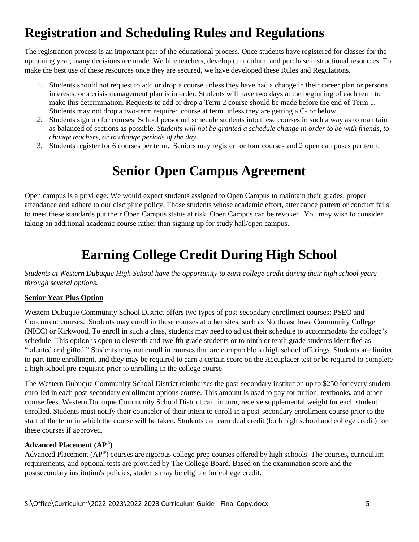## **Registration and Scheduling Rules and Regulations**

The registration process is an important part of the educational process. Once students have registered for classes for the upcoming year, many decisions are made. We hire teachers, develop curriculum, and purchase instructional resources. To make the best use of these resources once they are secured, we have developed these Rules and Regulations.

- 1. Students should not request to add or drop a course unless they have had a change in their career plan or personal interests, or a crisis management plan is in order. Students will have two days at the beginning of each term to make this determination. Requests to add or drop a Term 2 course should be made before the end of Term 1. Students may not drop a two-term required course at term unless they are getting a C- or below.
- *2.* Students sign up for courses. School personnel schedule students into these courses in such a way as to maintain as balanced of sections as possible. *Students will not be granted a schedule change in order to be with friends, to change teachers, or to change periods of the day.*
- 3. Students register for 6 courses per term. Seniors may register for four courses and 2 open campuses per term.

## **Senior Open Campus Agreement**

Open campus is a privilege. We would expect students assigned to Open Campus to maintain their grades, proper attendance and adhere to our discipline policy. Those students whose academic effort, attendance pattern or conduct fails to meet these standards put their Open Campus status at risk. Open Campus can be revoked. You may wish to consider taking an additional academic course rather than signing up for study hall/open campus.

## **Earning College Credit During High School**

*Students at Western Dubuque High School have the opportunity to earn college credit during their high school years through several options.* 

#### **Senior Year Plus Option**

Western Dubuque Community School District offers two types of post-secondary enrollment courses: PSEO and Concurrent courses. Students may enroll in these courses at other sites, such as Northeast Iowa Community College (NICC) or Kirkwood. To enroll in such a class, students may need to adjust their schedule to accommodate the college's schedule. This option is open to eleventh and twelfth grade students or to ninth or tenth grade students identified as "talented and gifted." Students may not enroll in courses that are comparable to high school offerings. Students are limited to part-time enrollment, and they may be required to earn a certain score on the Accuplacer test or be required to complete a high school pre-requisite prior to enrolling in the college course.

The Western Dubuque Community School District reimburses the post-secondary institution up to \$250 for every student enrolled in each post-secondary enrollment options course. This amount is used to pay for tuition, textbooks, and other course fees. Western Dubuque Community School District can, in turn, receive supplemental weight for each student enrolled. Students must notify their counselor of their intent to enroll in a post-secondary enrollment course prior to the start of the term in which the course will be taken. Students can earn dual credit (both high school and college credit) for these courses if approved.

#### **[Advanced Placement](https://www.educateiowa.gov/pk-12/advanced-learning-opportunities/advanced-placement-courses) (AP® )**

Advanced Placement (AP®) courses are rigorous college prep courses offered by high schools. The courses, curriculum requirements, and optional tests are provided by The College Board. Based on the examination score and the postsecondary institution's policies, students may be eligible for college credit.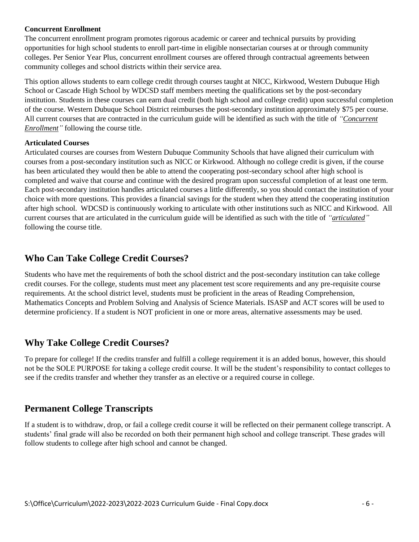#### **Concurrent Enrollment**

The concurrent enrollment program promotes rigorous academic or career and technical pursuits by providing opportunities for high school students to enroll part-time in eligible nonsectarian courses at or through community colleges. Per Senior Year Plus, concurrent enrollment courses are offered through contractual agreements between community colleges and school districts within their service area.

This option allows students to earn college credit through courses taught at NICC, Kirkwood, Western Dubuque High School or Cascade High School by WDCSD staff members meeting the qualifications set by the post-secondary institution. Students in these courses can earn dual credit (both high school and college credit) upon successful completion of the course. Western Dubuque School District reimburses the post-secondary institution approximately \$75 per course. All current courses that are contracted in the curriculum guide will be identified as such with the title of *"Concurrent Enrollment"* following the course title.

#### **Articulated Courses**

Articulated courses are courses from Western Dubuque Community Schools that have aligned their curriculum with courses from a post-secondary institution such as NICC or Kirkwood. Although no college credit is given, if the course has been articulated they would then be able to attend the cooperating post-secondary school after high school is completed and waive that course and continue with the desired program upon successful completion of at least one term. Each post-secondary institution handles articulated courses a little differently, so you should contact the institution of your choice with more questions. This provides a financial savings for the student when they attend the cooperating institution after high school. WDCSD is continuously working to articulate with other institutions such as NICC and Kirkwood. All current courses that are articulated in the curriculum guide will be identified as such with the title of *"articulated"*  following the course title.

#### **Who Can Take College Credit Courses?**

Students who have met the requirements of both the school district and the post-secondary institution can take college credit courses. For the college, students must meet any placement test score requirements and any pre-requisite course requirements. At the school district level, students must be proficient in the areas of Reading Comprehension, Mathematics Concepts and Problem Solving and Analysis of Science Materials. ISASP and ACT scores will be used to determine proficiency. If a student is NOT proficient in one or more areas, alternative assessments may be used.

#### **Why Take College Credit Courses?**

To prepare for college! If the credits transfer and fulfill a college requirement it is an added bonus, however, this should not be the SOLE PURPOSE for taking a college credit course. It will be the student's responsibility to contact colleges to see if the credits transfer and whether they transfer as an elective or a required course in college.

#### **Permanent College Transcripts**

If a student is to withdraw, drop, or fail a college credit course it will be reflected on their permanent college transcript. A students' final grade will also be recorded on both their permanent high school and college transcript. These grades will follow students to college after high school and cannot be changed.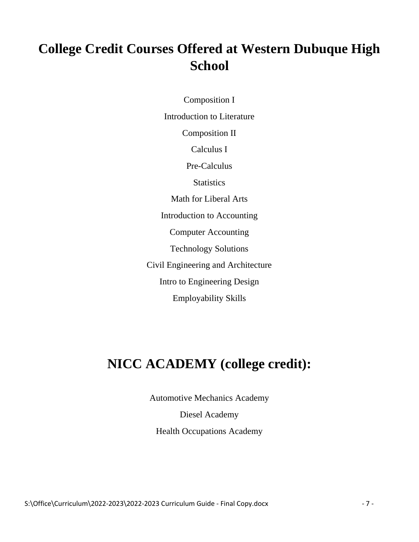## **College Credit Courses Offered at Western Dubuque High School**

Composition I Introduction to Literature Composition II Calculus I Pre-Calculus **Statistics** Math for Liberal Arts Introduction to Accounting Computer Accounting Technology Solutions Civil Engineering and Architecture Intro to Engineering Design Employability Skills

## **NICC ACADEMY (college credit):**

Automotive Mechanics Academy

Diesel Academy Health Occupations Academy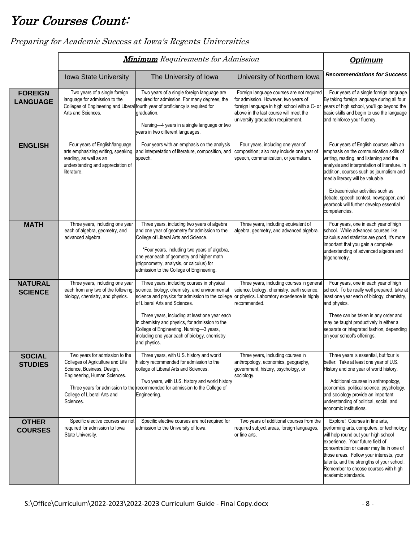## Your Courses Count:

|                                   |                                                                                                                                                                              | <b>Minimum</b> Requirements for Admission                                                                                                                                                                                                                                                                                                                                                                                                     |                                                                                                                                                                                                                   | <b>Optimum</b>                                                                                                                                                                                                                                                                                                                                                                                           |
|-----------------------------------|------------------------------------------------------------------------------------------------------------------------------------------------------------------------------|-----------------------------------------------------------------------------------------------------------------------------------------------------------------------------------------------------------------------------------------------------------------------------------------------------------------------------------------------------------------------------------------------------------------------------------------------|-------------------------------------------------------------------------------------------------------------------------------------------------------------------------------------------------------------------|----------------------------------------------------------------------------------------------------------------------------------------------------------------------------------------------------------------------------------------------------------------------------------------------------------------------------------------------------------------------------------------------------------|
|                                   | Iowa State University                                                                                                                                                        | The University of Iowa                                                                                                                                                                                                                                                                                                                                                                                                                        | University of Northern Iowa                                                                                                                                                                                       | <b>Recommendations for Success</b>                                                                                                                                                                                                                                                                                                                                                                       |
| <b>FOREIGN</b><br><b>LANGUAGE</b> | Two years of a single foreign<br>language for admission to the<br>Arts and Sciences.                                                                                         | Two years of a single foreign language are<br>required for admission. For many degrees, the<br>Colleges of Engineering and Liberal fourth year of proficiency is required for<br>graduation.<br>Nursing-4 years in a single language or two<br>years in two different languages.                                                                                                                                                              | Foreign language courses are not required<br>for admission. However, two years of<br>foreign language in high school with a C- or<br>above in the last course will meet the<br>university graduation requirement. | Four years of a single foreign language.<br>By taking foreign language during all four<br>years of high school, you'll go beyond the<br>basic skills and begin to use the language<br>and reinforce your fluency.                                                                                                                                                                                        |
| <b>ENGLISH</b>                    | Four years of English/language<br>arts emphasizing writing, speaking,<br>reading, as well as an<br>understanding and appreciation of<br>literature.                          | Four years with an emphasis on the analysis<br>and interpretation of literature, composition, and<br>speech.                                                                                                                                                                                                                                                                                                                                  | Four years, including one year of<br>composition; also may include one year of<br>speech, communication, or journalism.                                                                                           | Four years of English courses with an<br>emphasis on the communication skills of<br>writing, reading, and listening and the<br>analysis and interpretation of literature. In<br>addition, courses such as journalism and<br>media literacy will be valuable.<br>Extracurricular activities such as<br>debate, speech contest, newspaper, and<br>yearbook will further develop essential<br>competencies. |
| <b>MATH</b>                       | Three years, including one year<br>each of algebra, geometry, and<br>advanced algebra.                                                                                       | Three years, including two years of algebra<br>and one year of geometry for admission to the<br>College of Liberal Arts and Science.<br>*Four years, including two years of algebra,<br>one year each of geometry and higher math<br>(trigonometry, analysis, or calculus) for<br>admission to the College of Engineering.                                                                                                                    | Three years, including equivalent of<br>algebra, geometry, and advanced algebra.                                                                                                                                  | Four years, one in each year of high<br>school. While advanced courses like<br>calculus and statistics are good, it's more<br>important that you gain a complete<br>understanding of advanced algebra and<br>trigonometry.                                                                                                                                                                               |
| <b>NATURAL</b><br><b>SCIENCE</b>  | Three years, including one year<br>each from any two of the following:<br>biology, chemistry, and physics.                                                                   | Three years, including courses in physical<br>science, biology, chemistry, and environmental<br>science and physics for admission to the college or physics. Laboratory experience is highly<br>of Liberal Arts and Sciences.<br>Three years, including at least one year each<br>in chemistry and physics, for admission to the<br>College of Engineering. Nursing-3 years,<br>including one year each of biology, chemistry<br>and physics. | Three years, including courses in general<br>science, biology, chemistry, earth science,<br>recommended.                                                                                                          | Four years, one in each year of high<br>school. To be really well prepared, take at<br>least one year each of biology, chemistry,<br>and physics.<br>These can be taken in any order and<br>may be taught productively in either a<br>separate or integrated fashion, depending<br>on your school's offerings.                                                                                           |
| SOCIAL<br><b>STUDIES</b>          | Two years for admission to the<br>Colleges of Agriculture and Life<br>Science, Business, Design,<br>Engineering, Human Sciences.<br>College of Liberal Arts and<br>Sciences. | Three years, with U.S. history and world<br>history recommended for admission to the<br>college of Liberal Arts and Sciences.<br>Two years, with U.S. history and world history<br>Three years for admission to the recommended for admission to the College of<br>Engineering.                                                                                                                                                               | Three years, including courses in<br>anthropology, economics, geography,<br>government, history, psychology, or<br>sociology.                                                                                     | Three years is essential, but four is<br>better. Take at least one year of U.S.<br>History and one year of world history.<br>Additional courses in anthropology,<br>economics, political science, psychology,<br>and sociology provide an important<br>understanding of political, social, and<br>economic institutions.                                                                                 |
| <b>OTHER</b><br><b>COURSES</b>    | Specific elective courses are not<br>required for admission to lowa<br>State University.                                                                                     | Specific elective courses are not required for<br>admission to the University of Iowa.                                                                                                                                                                                                                                                                                                                                                        | Two years of additional courses from the<br>required subject areas, foreign languages,<br>or fine arts.                                                                                                           | Explore! Courses in fine arts,<br>performing arts, computers, or technology<br>will help round out your high school<br>experience. Your future field of<br>concentration or career may lie in one of<br>those areas. Follow your interests, your<br>talents, and the strengths of your school.<br>Remember to choose courses with high<br>academic standards.                                            |

Preparing for Academic Success at Iowa's Regents Universities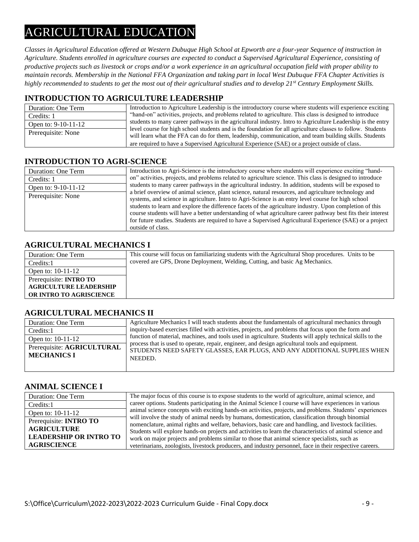## AGRICULTURAL EDUCATION

*Classes in Agricultural Education offered at Western Dubuque High School at Epworth are a four-year Sequence of instruction in Agriculture. Students enrolled in agriculture courses are expected to conduct a Supervised Agricultural Experience, consisting of productive projects such as livestock or crops and/or a work experience in an agricultural occupation field with proper ability to maintain records. Membership in the National FFA Organization and taking part in local West Dubuque FFA Chapter Activities is highly recommended to students to get the most out of their agricultural studies and to develop 21st Century Employment Skills.* 

#### **INTRODUCTION TO AGRICULTURE LEADERSHIP**

| Duration: One Term    | Introduction to Agriculture Leadership is the introductory course where students will experience exciting                                                                                                             |
|-----------------------|-----------------------------------------------------------------------------------------------------------------------------------------------------------------------------------------------------------------------|
| Credits: 1            | "hand-on" activities, projects, and problems related to agriculture. This class is designed to introduce                                                                                                              |
| Open to: $9-10-11-12$ | students to many career pathways in the agricultural industry. Intro to Agriculture Leadership is the entry                                                                                                           |
| Prerequisite: None    | level course for high school students and is the foundation for all agriculture classes to follow. Students<br>will learn what the FFA can do for them, leadership, communication, and team building skills. Students |
|                       | are required to have a Supervised Agricultural Experience (SAE) or a project outside of class.                                                                                                                        |

#### **INTRODUCTION TO AGRI-SCIENCE**

| Duration: One Term  | Introduction to Agri-Science is the introductory course where students will experience exciting "hand-       |
|---------------------|--------------------------------------------------------------------------------------------------------------|
| Credits: 1          | on" activities, projects, and problems related to agriculture science. This class is designed to introduce   |
| Open to: 9-10-11-12 | students to many career pathways in the agricultural industry. In addition, students will be exposed to      |
| Prerequisite: None  | a brief overview of animal science, plant science, natural resources, and agriculture technology and         |
|                     | systems, and science in agriculture. Intro to Agri-Science is an entry level course for high school          |
|                     | students to learn and explore the difference facets of the agriculture industry. Upon completion of this     |
|                     | course students will have a better understanding of what agriculture career pathway best fits their interest |
|                     | for future studies. Students are required to have a Supervised Agricultural Experience (SAE) or a project    |
|                     | outside of class.                                                                                            |

#### **AGRICULTURAL MECHANICS I**

| Duration: One Term             | This course will focus on familiarizing students with the Agricultural Shop procedures. Units to be |
|--------------------------------|-----------------------------------------------------------------------------------------------------|
| Credits:1                      | covered are GPS, Drone Deployment, Welding, Cutting, and basic Ag Mechanics.                        |
| Open to: $10-11-12$            |                                                                                                     |
| Prerequisite: <b>INTRO TO</b>  |                                                                                                     |
| <b>AGRICULTURE LEADERSHIP</b>  |                                                                                                     |
| <b>OR INTRO TO AGRISCIENCE</b> |                                                                                                     |

#### **AGRICULTURAL MECHANICS II**

| Duration: One Term                               | Agriculture Mechanics I will teach students about the fundamentals of agricultural mechanics through                                                                                    |
|--------------------------------------------------|-----------------------------------------------------------------------------------------------------------------------------------------------------------------------------------------|
| Credits:1                                        | inquiry-based exercises filled with activities, projects, and problems that focus upon the form and                                                                                     |
| Open to: 10-11-12                                | function of material, machines, and tools used in agriculture. Students will apply technical skills to the                                                                              |
| Prerequisite: AGRICULTURAL<br><b>MECHANICS I</b> | process that is used to operate, repair, engineer, and design agricultural tools and equipment.<br>STUDENTS NEED SAFETY GLASSES, EAR PLUGS, AND ANY ADDITIONAL SUPPLIES WHEN<br>NEEDED. |

#### **ANIMAL SCIENCE I**

| Duration: One Term            | The major focus of this course is to expose students to the world of agriculture, animal science, and                                                                                                      |
|-------------------------------|------------------------------------------------------------------------------------------------------------------------------------------------------------------------------------------------------------|
| Credits:1                     | career options. Students participating in the Animal Science I course will have experiences in various                                                                                                     |
| Open to: $10-11-12$           | animal science concepts with exciting hands-on activities, projects, and problems. Students' experiences                                                                                                   |
| Prerequisite: <b>INTRO TO</b> | will involve the study of animal needs by humans, domestication, classification through binomial<br>nomenclature, animal rights and welfare, behaviors, basic care and handling, and livestock facilities. |
| <b>AGRICULTURE</b>            | Students will explore hands-on projects and activities to learn the characteristics of animal science and                                                                                                  |
| <b>LEADERSHIP OR INTRO TO</b> | work on major projects and problems similar to those that animal science specialists, such as                                                                                                              |
| <b>AGRISCIENCE</b>            | veterinarians, zoologists, livestock producers, and industry personnel, face in their respective careers.                                                                                                  |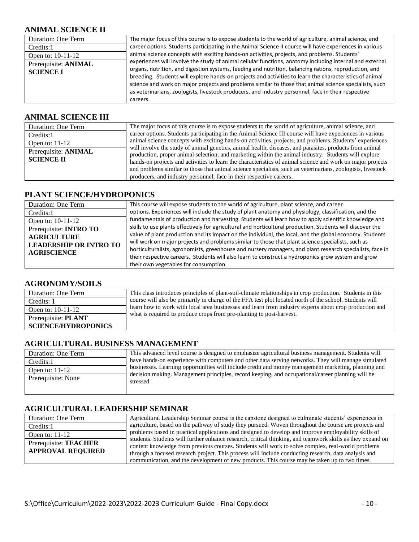#### **ANIMAL SCIENCE II**

| Duration: One Term   | The major focus of this course is to expose students to the world of agriculture, animal science, and    |
|----------------------|----------------------------------------------------------------------------------------------------------|
| Credits:1            | career options. Students participating in the Animal Science II course will have experiences in various  |
| Open to: 10-11-12    | animal science concepts with exciting hands-on activities, projects, and problems. Students'             |
| Prerequisite: ANIMAL | experiences will involve the study of animal cellular functions, anatomy including internal and external |
| <b>SCIENCE I</b>     | organs, nutrition, and digestion systems, feeding and nutrition, balancing rations, reproduction, and    |
|                      | breeding. Students will explore hands-on projects and activities to learn the characteristics of animal  |
|                      | science and work on major projects and problems similar to those that animal science specialists, such   |
|                      | as veterinarians, zoologists, livestock producers, and industry personnel, face in their respective      |
|                      | careers.                                                                                                 |

#### **ANIMAL SCIENCE III**

| Duration: One Term                        | The major focus of this course is to expose students to the world of agriculture, animal science, and                                                                                                                                                                                                                                                                                                                                        |
|-------------------------------------------|----------------------------------------------------------------------------------------------------------------------------------------------------------------------------------------------------------------------------------------------------------------------------------------------------------------------------------------------------------------------------------------------------------------------------------------------|
| Credits:1                                 | career options. Students participating in the Animal Science III course will have experiences in various                                                                                                                                                                                                                                                                                                                                     |
| Open to: $11-12$                          | animal science concepts with exciting hands-on activities, projects, and problems. Students' experiences                                                                                                                                                                                                                                                                                                                                     |
| Prerequisite: ANIMAL<br><b>SCIENCE II</b> | will involve the study of animal genetics, animal health, diseases, and parasites, products from animal<br>production, proper animal selection, and marketing within the animal industry. Students will explore<br>hands-on projects and activities to learn the characteristics of animal science and work on major projects<br>and problems similar to those that animal science specialists, such as veterinarians, zoologists, livestock |
|                                           | producers, and industry personnel, face in their respective careers.                                                                                                                                                                                                                                                                                                                                                                         |

#### **PLANT SCIENCE/HYDROPONICS**

| Duration: One Term            | This course will expose students to the world of agriculture, plant science, and career                    |
|-------------------------------|------------------------------------------------------------------------------------------------------------|
| Credits:1                     | options. Experiences will include the study of plant anatomy and physiology, classification, and the       |
| Open to: 10-11-12             | fundamentals of production and harvesting. Students will learn how to apply scientific knowledge and       |
| Prerequisite: <b>INTRO TO</b> | skills to use plants effectively for agricultural and horticultural production. Students will discover the |
| <b>AGRICULTURE</b>            | value of plant production and its impact on the individual, the local, and the global economy. Students    |
| <b>LEADERSHIP OR INTRO TO</b> | will work on major projects and problems similar to those that plant science specialists, such as          |
| <b>AGRISCIENCE</b>            | horticulturalists, agronomists, greenhouse and nursery managers, and plant research specialists, face in   |
|                               | their respective careers. Students will also learn to construct a hydroponics grow system and grow         |
|                               | their own vegetables for consumption                                                                       |

#### **AGRONOMY/SOILS**

| Duration: One Term         | This class introduces principles of plant-soil-climate relationships in crop production. Students in this |
|----------------------------|-----------------------------------------------------------------------------------------------------------|
| Credits: 1                 | course will also be primarily in charge of the FFA test plot located north of the school. Students will   |
| Open to: $10-11-12$        | learn how to work with local area businesses and learn from industry experts about crop production and    |
| Prerequisite: PLANT        | what is required to produce crops from pre-planting to post-harvest.                                      |
| <b>SCIENCE/HYDROPONICS</b> |                                                                                                           |

#### **AGRICULTURAL BUSINESS MANAGEMENT**

| Duration: One Term | This advanced level course is designed to emphasize agricultural business management. Students will           |
|--------------------|---------------------------------------------------------------------------------------------------------------|
| Credits:1          | have hands-on experience with computers and other data serving networks. They will manage simulated           |
| Open to: $11-12$   | businesses. Learning opportunities will include credit and money management marketing, planning and           |
| Prerequisite: None | decision making. Management principles, record keeping, and occupational/career planning will be<br>stressed. |

#### **AGRICULTURAL LEADERSHIP SEMINAR**

| Duration: One Term                                       | Agricultural Leadership Seminar course is the capstone designed to culminate students' experiences in                                                                                                                                                                                                                                                                                                                    |
|----------------------------------------------------------|--------------------------------------------------------------------------------------------------------------------------------------------------------------------------------------------------------------------------------------------------------------------------------------------------------------------------------------------------------------------------------------------------------------------------|
| Credits:1                                                | agriculture, based on the pathway of study they pursued. Woven throughout the course are projects and                                                                                                                                                                                                                                                                                                                    |
| Open to: $11-12$                                         | problems based in practical applications and designed to develop and improve employability skills of                                                                                                                                                                                                                                                                                                                     |
| Prerequisite: <b>TEACHER</b><br><b>APPROVAL REQUIRED</b> | students. Students will further enhance research, critical thinking, and teamwork skills as they expand on<br>content knowledge from previous courses. Students will work to solve complex, real-world problems<br>through a focused research project. This process will include conducting research, data analysis and<br>communication, and the development of new products. This course may be taken up to two times. |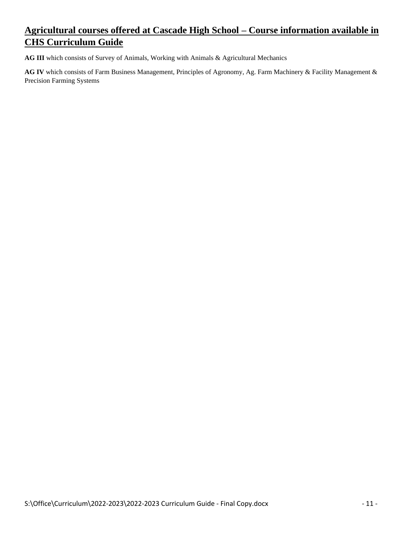#### **Agricultural courses offered at Cascade High School – Course information available in CHS Curriculum Guide**

**AG III** which consists of Survey of Animals, Working with Animals & Agricultural Mechanics

**AG IV** which consists of Farm Business Management, Principles of Agronomy, Ag. Farm Machinery & Facility Management & Precision Farming Systems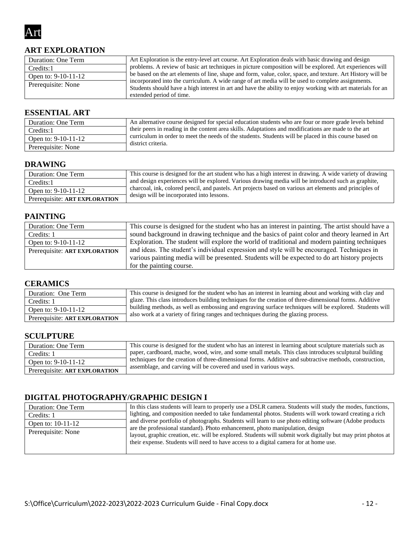

#### **ART EXPLORATION**

| Duration: One Term  | Art Exploration is the entry-level art course. Art Exploration deals with basic drawing and design                                                                                                                                           |
|---------------------|----------------------------------------------------------------------------------------------------------------------------------------------------------------------------------------------------------------------------------------------|
| Credits:1           | problems. A review of basic art techniques in picture composition will be explored. Art experiences will                                                                                                                                     |
| Open to: 9-10-11-12 | be based on the art elements of line, shape and form, value, color, space, and texture. Art History will be                                                                                                                                  |
| Prerequisite: None  | incorporated into the curriculum. A wide range of art media will be used to complete assignments.<br>Students should have a high interest in art and have the ability to enjoy working with art materials for an<br>extended period of time. |

#### **ESSENTIAL ART**

| Duration: One Term    | An alternative course designed for special education students who are four or more grade levels behind |
|-----------------------|--------------------------------------------------------------------------------------------------------|
| Credits:1             | their peers in reading in the content area skills. Adaptations and modifications are made to the art   |
| Open to: $9-10-11-12$ | curriculum in order to meet the needs of the students. Students will be placed in this course based on |
| Prerequisite: None    | district criteria.                                                                                     |

#### **DRAWING**

| Duration: One Term            | This course is designed for the art student who has a high interest in drawing. A wide variety of drawing |
|-------------------------------|-----------------------------------------------------------------------------------------------------------|
| Credits:1                     | and design experiences will be explored. Various drawing media will be introduced such as graphite,       |
| Open to: $9-10-11-12$         | charcoal, ink, colored pencil, and pastels. Art projects based on various art elements and principles of  |
| Prerequisite: ART EXPLORATION | design will be incorporated into lessons.                                                                 |

#### **PAINTING**

| Duration: One Term            | This course is designed for the student who has an interest in painting. The artist should have a |
|-------------------------------|---------------------------------------------------------------------------------------------------|
| Credits: 1                    | sound background in drawing technique and the basics of paint color and theory learned in Art     |
| Open to: 9-10-11-12           | Exploration. The student will explore the world of traditional and modern painting techniques     |
| Prerequisite: ART EXPLORATION | and ideas. The student's individual expression and style will be encouraged. Techniques in        |
|                               | various painting media will be presented. Students will be expected to do art history projects    |
|                               | for the painting course.                                                                          |

#### **CERAMICS**

| Duration: One Term            | This course is designed for the student who has an interest in learning about and working with clay and |
|-------------------------------|---------------------------------------------------------------------------------------------------------|
| Credits: 1                    | glaze. This class introduces building techniques for the creation of three-dimensional forms. Additive  |
| Open to: $9-10-11-12$         | building methods, as well as embossing and engraving surface techniques will be explored. Students will |
| Prerequisite: ART EXPLORATION | also work at a variety of firing ranges and techniques during the glazing process.                      |

#### **SCULPTURE**

| Duration: One Term            | This course is designed for the student who has an interest in learning about sculpture materials such as |
|-------------------------------|-----------------------------------------------------------------------------------------------------------|
| Credits: 1                    | paper, cardboard, mache, wood, wire, and some small metals. This class introduces sculptural building     |
| Open to: $9-10-11-12$         | techniques for the creation of three-dimensional forms. Additive and subtractive methods, construction,   |
| Prerequisite: ART EXPLORATION | assemblage, and carving will be covered and used in various ways.                                         |

#### **DIGITAL PHOTOGRAPHY/GRAPHIC DESIGN I**

| Duration: One Term | In this class students will learn to properly use a DSLR camera. Students will study the modes, functions,   |
|--------------------|--------------------------------------------------------------------------------------------------------------|
| Credits: 1         | lighting, and composition needed to take fundamental photos. Students will work toward creating a rich       |
| Open to: 10-11-12  | and diverse portfolio of photographs. Students will learn to use photo editing software (Adobe products      |
| Prerequisite: None | are the professional standard). Photo enhancement, photo manipulation, design                                |
|                    | layout, graphic creation, etc. will be explored. Students will submit work digitally but may print photos at |
|                    | their expense. Students will need to have access to a digital camera for at home use.                        |
|                    |                                                                                                              |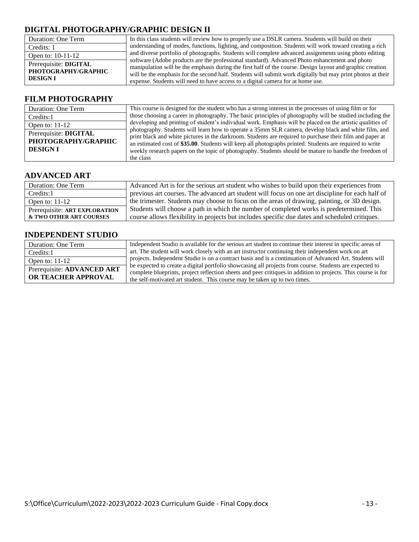#### **DIGITAL PHOTOGRAPHY/GRAPHIC DESIGN II**

| Duration: One Term                                              | In this class students will review how to properly use a DSLR camera. Students will build on their                                                                                                                                                                                                                                                                                                           |
|-----------------------------------------------------------------|--------------------------------------------------------------------------------------------------------------------------------------------------------------------------------------------------------------------------------------------------------------------------------------------------------------------------------------------------------------------------------------------------------------|
| Credits: 1                                                      | understanding of modes, functions, lighting, and composition. Students will work toward creating a rich                                                                                                                                                                                                                                                                                                      |
| Open to: $10-11-12$                                             | and diverse portfolio of photographs. Students will complete advanced assignments using photo editing                                                                                                                                                                                                                                                                                                        |
| Prerequisite: DIGITAL<br>PHOTOGRAPHY/GRAPHIC<br><b>DESIGN I</b> | software (Adobe products are the professional standard). Advanced Photo enhancement and photo<br>manipulation will be the emphasis during the first half of the course. Design layout and graphic creation<br>will be the emphasis for the second half. Students will submit work digitally but may print photos at their<br>expense. Students will need to have access to a digital camera for at home use. |

#### **FILM PHOTOGRAPHY**

| Duration: One Term    | This course is designed for the student who has a strong interest in the processes of using film or for    |
|-----------------------|------------------------------------------------------------------------------------------------------------|
| Credits:1             | those choosing a career in photography. The basic principles of photography will be studied including the  |
| Open to: $11-12$      | developing and printing of student's individual work. Emphasis will be placed on the artistic qualities of |
| Prerequisite: DIGITAL | photography. Students will learn how to operate a 35mm SLR camera, develop black and white film, and       |
| PHOTOGRAPHY/GRAPHIC   | print black and white pictures in the darkroom. Students are required to purchase their film and paper at  |
|                       | an estimated cost of \$35.00. Students will keep all photographs printed. Students are required to write   |
| <b>DESIGN I</b>       | weekly research papers on the topic of photography. Students should be mature to handle the freedom of     |
|                       | the class                                                                                                  |

#### **ADVANCED ART**

| Duration: One Term            | Advanced Art is for the serious art student who wishes to build upon their experiences from      |
|-------------------------------|--------------------------------------------------------------------------------------------------|
| Credits:1                     | previous art courses. The advanced art student will focus on one art discipline for each half of |
| Open to: $11-12$              | the trimester. Students may choose to focus on the areas of drawing, painting, or 3D design.     |
| Prerequisite: ART EXPLORATION | Students will choose a path in which the number of completed works is predetermined. This        |
| & TWO OTHER ART COURSES       | course allows flexibility in projects but includes specific due dates and scheduled critiques.   |

#### **INDEPENDENT STUDIO**

| Duration: One Term                                | Independent Studio is available for the serious art student to continue their interest in specific areas of                                                                                                                                                                                           |
|---------------------------------------------------|-------------------------------------------------------------------------------------------------------------------------------------------------------------------------------------------------------------------------------------------------------------------------------------------------------|
| Credits:1                                         | art. The student will work closely with an art instructor continuing their independent work on art                                                                                                                                                                                                    |
| Open to: $11-12$                                  | projects. Independent Studio is on a contract basis and is a continuation of Advanced Art. Students will                                                                                                                                                                                              |
| Prerequisite: ADVANCED ART<br>OR TEACHER APPROVAL | be expected to create a digital portfolio showcasing all projects from course. Students are expected to<br>complete blueprints, project reflection sheets and peer critiques in addition to projects. This course is for<br>the self-motivated art student. This course may be taken up to two times. |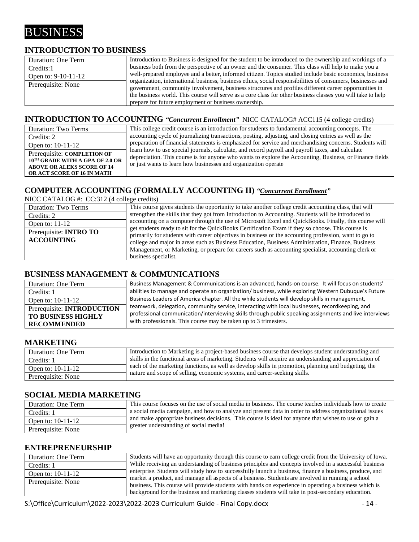## BUSINESS

#### **INTRODUCTION TO BUSINESS**

| Duration: One Term  | Introduction to Business is designed for the student to be introduced to the ownership and workings of a    |
|---------------------|-------------------------------------------------------------------------------------------------------------|
| Credits:1           | business both from the perspective of an owner and the consumer. This class will help to make you a         |
| Open to: 9-10-11-12 | well-prepared employee and a better, informed citizen. Topics studied include basic economics, business     |
| Prerequisite: None  | organization, international business, business ethics, social responsibilities of consumers, businesses and |
|                     | government, community involvement, business structures and profiles different career opportunities in       |
|                     | the business world. This course will serve as a core class for other business classes you will take to help |
|                     | prepare for future employment or business ownership.                                                        |

#### **INTRODUCTION TO ACCOUNTING** *"Concurrent Enrollment"* NICC CATALOG# ACC115 (4 college credits)

| Duration: Two Terms                                                                                                               | This college credit course is an introduction for students to fundamental accounting concepts. The                                                                                                                                                                              |
|-----------------------------------------------------------------------------------------------------------------------------------|---------------------------------------------------------------------------------------------------------------------------------------------------------------------------------------------------------------------------------------------------------------------------------|
| Credits: 2                                                                                                                        | accounting cycle of journalizing transactions, posting, adjusting, and closing entries as well as the                                                                                                                                                                           |
| Open to: $10-11-12$                                                                                                               | preparation of financial statements is emphasized for service and merchandising concerns. Students will                                                                                                                                                                         |
| Prerequisite: COMPLETION OF<br>10TH GRADE WITH A GPA OF 2.0 OR<br><b>ABOVE OR ALEKS SCORE OF 14</b><br>OR ACT SCORE OF 16 IN MATH | learn how to use special journals, calculate, and record payroll and payroll taxes, and calculate<br>depreciation. This course is for anyone who wants to explore the Accounting, Business, or Finance fields<br>or just wants to learn how businesses and organization operate |

#### **COMPUTER ACCOUNTING (FORMALLY ACCOUNTING II)** *"Concurrent Enrollment"*

| NICC CATALOG #: $CC:312$ (4 college credits)       |                                                                                                                                                                                                                                                                                                                                                                                                                                                |
|----------------------------------------------------|------------------------------------------------------------------------------------------------------------------------------------------------------------------------------------------------------------------------------------------------------------------------------------------------------------------------------------------------------------------------------------------------------------------------------------------------|
| <b>Duration: Two Terms</b>                         | This course gives students the opportunity to take another college credit accounting class, that will                                                                                                                                                                                                                                                                                                                                          |
| Credits: 2                                         | strengthen the skills that they got from Introduction to Accounting. Students will be introduced to                                                                                                                                                                                                                                                                                                                                            |
| Open to: $11-12$                                   | accounting on a computer through the use of Microsoft Excel and QuickBooks. Finally, this course will                                                                                                                                                                                                                                                                                                                                          |
| Prerequisite: <b>INTRO TO</b><br><b>ACCOUNTING</b> | get students ready to sit for the QuickBooks Certification Exam if they so choose. This course is<br>primarily for students with career objectives in business or the accounting profession, want to go to<br>college and major in areas such as Business Education, Business Administration, Finance, Business<br>Management, or Marketing, or prepare for careers such as accounting specialist, accounting clerk or<br>business specialist. |

#### **BUSINESS MANAGEMENT & COMMUNICATIONS**

| Duration: One Term                | Business Management & Communications is an advanced, hands-on course. It will focus on students'       |
|-----------------------------------|--------------------------------------------------------------------------------------------------------|
| Credits: 1                        | abilities to manage and operate an organization/ business, while exploring Western Dubuque's Future    |
| Open to: $10-11-12$               | Business Leaders of America chapter. All the while students will develop skills in management,         |
| Prerequisite: <b>INTRODUCTION</b> | teamwork, delegation, community service, interacting with local businesses, recordkeeping, and         |
| TO BUSINESS HIGHLY                | professional communication/interviewing skills through public speaking assignments and live interviews |
| <b>RECOMMENDED</b>                | with professionals. This course may be taken up to 3 trimesters.                                       |

#### **MARKETING**

| Duration: One Term | Introduction to Marketing is a project-based business course that develops student understanding and    |
|--------------------|---------------------------------------------------------------------------------------------------------|
| Credits: 1         | skills in the functional areas of marketing. Students will acquire an understanding and appreciation of |
| Open to: 10-11-12  | each of the marketing functions, as well as develop skills in promotion, planning and budgeting, the    |
| Prerequisite: None | nature and scope of selling, economic systems, and career-seeking skills.                               |

#### **SOCIAL MEDIA MARKETING**

| Duration: One Term | This course focuses on the use of social media in business. The course teaches individuals how to create |
|--------------------|----------------------------------------------------------------------------------------------------------|
|                    | a social media campaign, and how to analyze and present data in order to address organizational issues   |
| Credits: 1         |                                                                                                          |
| Open to: 10-11-12  | and make appropriate business decisions. This course is ideal for anyone that wishes to use or gain a    |
| Prerequisite: None | greater understanding of social media!                                                                   |

#### **ENTREPRENEURSHIP**

| Duration: One Term  | Students will have an opportunity through this course to earn college credit from the University of Iowa. |
|---------------------|-----------------------------------------------------------------------------------------------------------|
| Credits: 1          | While receiving an understanding of business principles and concepts involved in a successful business    |
| Open to: $10-11-12$ | enterprise. Students will study how to successfully launch a business, finance a business, produce, and   |
| Prerequisite: None  | market a product, and manage all aspects of a business. Students are involved in running a school         |
|                     | business. This course will provide students with hands on experience in operating a business which is     |
|                     | background for the business and marketing classes students will take in post-secondary education.         |

S:\Office\Curriculum\2022-2023\2022-2023 Curriculum Guide - Final Copy.docx - 14 -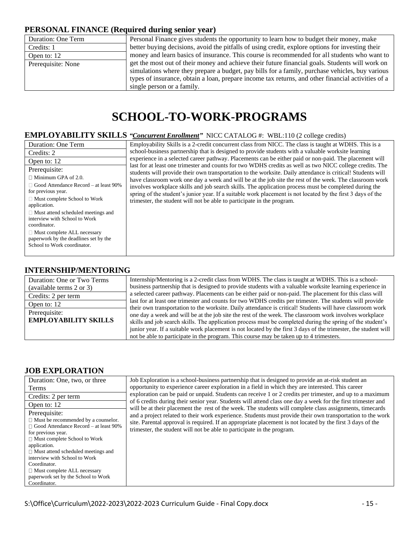#### **PERSONAL FINANCE (Required during senior year)**

| Duration: One Term | Personal Finance gives students the opportunity to learn how to budget their money, make           |
|--------------------|----------------------------------------------------------------------------------------------------|
| Credits: 1         | better buying decisions, avoid the pitfalls of using credit, explore options for investing their   |
| Open to: 12        | money and learn basics of insurance. This course is recommended for all students who want to       |
| Prerequisite: None | get the most out of their money and achieve their future financial goals. Students will work on    |
|                    | simulations where they prepare a budget, pay bills for a family, purchase vehicles, buy various    |
|                    | types of insurance, obtain a loan, prepare income tax returns, and other financial activities of a |
|                    | single person or a family.                                                                         |

## **SCHOOL-TO-WORK-PROGRAMS**

#### **EMPLOYABILITY SKILLS** *"Concurrent Enrollment"* NICC CATALOG #: WBL:110 (2 college credits)

| Duration: One Term                                                                                         | Employability Skills is a 2-credit concurrent class from NICC. The class is taught at WDHS. This is a                                                                                                                   |
|------------------------------------------------------------------------------------------------------------|-------------------------------------------------------------------------------------------------------------------------------------------------------------------------------------------------------------------------|
| Credits: 2                                                                                                 | school-business partnership that is designed to provide students with a valuable worksite learning                                                                                                                      |
| Open to: 12                                                                                                | experience in a selected career pathway. Placements can be either paid or non-paid. The placement will                                                                                                                  |
| Prerequisite:                                                                                              | last for at least one trimester and counts for two WDHS credits as well as two NICC college credits. The<br>students will provide their own transportation to the worksite. Daily attendance is critical! Students will |
| $\Box$ Minimum GPA of 2.0.                                                                                 | have classroom work one day a week and will be at the job site the rest of the week. The classroom work                                                                                                                 |
| $\Box$ Good Attendance Record – at least 90%<br>for previous year.                                         | involves workplace skills and job search skills. The application process must be completed during the<br>spring of the student's junior year. If a suitable work placement is not located by the first 3 days of the    |
| $\Box$ Must complete School to Work<br>application.                                                        | trimester, the student will not be able to participate in the program.                                                                                                                                                  |
| $\Box$ Must attend scheduled meetings and<br>interview with School to Work<br>coordinator.                 |                                                                                                                                                                                                                         |
| $\Box$ Must complete ALL necessary<br>paperwork by the deadlines set by the<br>School to Work coordinator. |                                                                                                                                                                                                                         |

#### **INTERNSHIP/MENTORING**

| Duration: One or Two Terms                   | Internship/Mentoring is a 2-credit class from WDHS. The class is taught at WDHS. This is a school-                                                                                                                                                                                                                                                                                                                                                   |
|----------------------------------------------|------------------------------------------------------------------------------------------------------------------------------------------------------------------------------------------------------------------------------------------------------------------------------------------------------------------------------------------------------------------------------------------------------------------------------------------------------|
| (available terms 2 or 3)                     | business partnership that is designed to provide students with a valuable worksite learning experience in                                                                                                                                                                                                                                                                                                                                            |
| Credits: 2 per term                          | a selected career pathway. Placements can be either paid or non-paid. The placement for this class will                                                                                                                                                                                                                                                                                                                                              |
| Open to: 12                                  | last for at least one trimester and counts for two WDHS credits per trimester. The students will provide                                                                                                                                                                                                                                                                                                                                             |
| Prerequisite:<br><b>EMPLOYABILITY SKILLS</b> | their own transportation to the worksite. Daily attendance is critical! Students will have classroom work<br>one day a week and will be at the job site the rest of the week. The classroom work involves workplace<br>skills and job search skills. The application process must be completed during the spring of the student's<br>junior year. If a suitable work placement is not located by the first 3 days of the trimester, the student will |
|                                              | not be able to participate in the program. This course may be taken up to 4 trimesters.                                                                                                                                                                                                                                                                                                                                                              |

#### **JOB EXPLORATION**

| Duration: One, two, or three                 | Job Exploration is a school-business partnership that is designed to provide an at-risk student an                                                                                                                       |
|----------------------------------------------|--------------------------------------------------------------------------------------------------------------------------------------------------------------------------------------------------------------------------|
| Terms                                        | opportunity to experience career exploration in a field in which they are interested. This career                                                                                                                        |
| Credits: 2 per term                          | exploration can be paid or unpaid. Students can receive 1 or 2 credits per trimester, and up to a maximum                                                                                                                |
| Open to: 12                                  | of 6 credits during their senior year. Students will attend class one day a week for the first trimester and<br>will be at their placement the rest of the week. The students will complete class assignments, timecards |
| Prerequisite:                                | and a project related to their work experience. Students must provide their own transportation to the work                                                                                                               |
| $\Box$ Must be recommended by a counselor.   | site. Parental approval is required. If an appropriate placement is not located by the first 3 days of the                                                                                                               |
| $\Box$ Good Attendance Record – at least 90% | trimester, the student will not be able to participate in the program.                                                                                                                                                   |
| for previous year.                           |                                                                                                                                                                                                                          |
| $\Box$ Must complete School to Work          |                                                                                                                                                                                                                          |
| application.                                 |                                                                                                                                                                                                                          |
| $\Box$ Must attend scheduled meetings and    |                                                                                                                                                                                                                          |
| interview with School to Work                |                                                                                                                                                                                                                          |
| Coordinator.                                 |                                                                                                                                                                                                                          |
| $\Box$ Must complete ALL necessary           |                                                                                                                                                                                                                          |
| paperwork set by the School to Work          |                                                                                                                                                                                                                          |
| Coordinator.                                 |                                                                                                                                                                                                                          |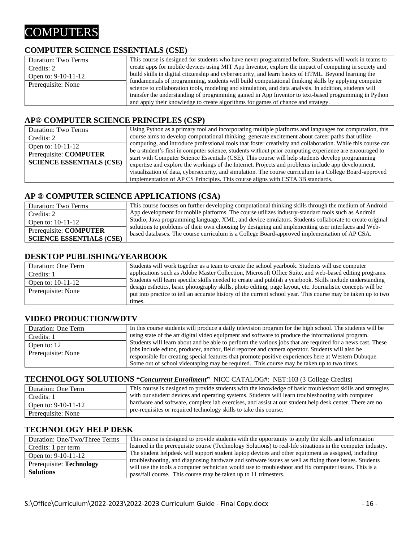## **COMPUTERS**

#### **COMPUTER SCIENCE ESSENTIALS (CSE)**

| Duration: Two Terms | This course is designed for students who have never programmed before. Students will work in teams to  |
|---------------------|--------------------------------------------------------------------------------------------------------|
| Credits: 2          | create apps for mobile devices using MIT App Inventor, explore the impact of computing in society and  |
| Open to: 9-10-11-12 | build skills in digital citizenship and cybersecurity, and learn basics of HTML. Beyond learning the   |
|                     | fundamentals of programming, students will build computational thinking skills by applying computer    |
| Prerequisite: None  | science to collaboration tools, modeling and simulation, and data analysis. In addition, students will |
|                     | transfer the understanding of programming gained in App Inventor to text-based programming in Python   |
|                     | and apply their knowledge to create algorithms for games of chance and strategy.                       |

#### **AP® COMPUTER SCIENCE PRINCIPLES (CSP)**

| Duration: Two Terms             | Using Python as a primary tool and incorporating multiple platforms and languages for computation, this     |  |  |  |
|---------------------------------|-------------------------------------------------------------------------------------------------------------|--|--|--|
| Credits: 2                      | course aims to develop computational thinking, generate excitement about career paths that utilize          |  |  |  |
| Open to: 10-11-12               | computing, and introduce professional tools that foster creativity and collaboration. While this course can |  |  |  |
| Prerequisite: COMPUTER          | be a student's first in computer science, students without prior computing experience are encouraged to     |  |  |  |
|                                 | start with Computer Science Essentials (CSE). This course will help students develop programming            |  |  |  |
| <b>SCIENCE ESSENTIALS (CSE)</b> | expertise and explore the workings of the Internet. Projects and problems include app development,          |  |  |  |
|                                 | visualization of data, cybersecurity, and simulation. The course curriculum is a College Board-approved     |  |  |  |
|                                 | implementation of AP CS Principles. This course aligns with CSTA 3B standards.                              |  |  |  |

#### **AP ® COMPUTER SCIENCE APPLICATIONS (CSA)**

| Duration: Two Terms             | This course focuses on further developing computational thinking skills through the medium of Android                                                                                              |
|---------------------------------|----------------------------------------------------------------------------------------------------------------------------------------------------------------------------------------------------|
| Credits: 2                      | App development for mobile platforms. The course utilizes industry-standard tools such as Android                                                                                                  |
| Open to: $10-11-12$             | Studio, Java programming language, XML, and device emulators. Students collaborate to create original                                                                                              |
| Prerequisite: COMPUTER          | solutions to problems of their own choosing by designing and implementing user interfaces and Web-<br>based databases. The course curriculum is a College Board-approved implementation of AP CSA. |
| <b>SCIENCE ESSENTIALS (CSE)</b> |                                                                                                                                                                                                    |

#### **DESKTOP PUBLISHING/YEARBOOK**

| Duration: One Term | Students will work together as a team to create the school yearbook. Students will use computer                                                                                                                                      |
|--------------------|--------------------------------------------------------------------------------------------------------------------------------------------------------------------------------------------------------------------------------------|
| Credits: 1         | applications such as Adobe Master Collection, Microsoft Office Suite, and web-based editing programs.                                                                                                                                |
| Open to: 10-11-12  | Students will learn specific skills needed to create and publish a yearbook. Skills include understanding                                                                                                                            |
| Prerequisite: None | design esthetics, basic photography skills, photo editing, page layout, etc. Journalistic concepts will be<br>put into practice to tell an accurate history of the current school year. This course may be taken up to two<br>times. |

#### **VIDEO PRODUCTION/WDTV**

| Duration: One Term | In this course students will produce a daily television program for the high school. The students will be  |  |  |  |
|--------------------|------------------------------------------------------------------------------------------------------------|--|--|--|
| Credits: 1         | using state of the art digital video equipment and software to produce the informational program.          |  |  |  |
| Open to: 12        | Students will learn about and be able to perform the various jobs that are required for a news cast. These |  |  |  |
| Prerequisite: None | jobs include editor, producer, anchor, field reporter and camera operator. Students will also be           |  |  |  |
|                    | responsible for creating special features that promote positive experiences here at Western Dubuque.       |  |  |  |
|                    | Some out of school videotaping may be required. This course may be taken up to two times.                  |  |  |  |

#### **TECHNOLOGY SOLUTIONS "***Concurrent Enrollment***"** NICC CATALOG#: NET:103 (3 College Credits)

| Duration: One Term  | This course is designed to provide students with the knowledge of basic troubleshoot skills and strategies |
|---------------------|------------------------------------------------------------------------------------------------------------|
| Credits: 1          | with our student devices and operating systems. Students will learn troubleshooting with computer          |
| Open to: 9-10-11-12 | hardware and software, complete lab exercises, and assist at our student help desk center. There are no    |
| Prerequisite: None  | pre-requisites or required technology skills to take this course.                                          |

#### **TECHNOLOGY HELP DESK**

| Duration: One/Two/Three Terms | This course is designed to provide students with the opportunity to apply the skills and information                                                                                                           |
|-------------------------------|----------------------------------------------------------------------------------------------------------------------------------------------------------------------------------------------------------------|
| Credits: 1 per term           | learned in the prerequisite course (Technology Solutions) to real-life situations in the computer industry.                                                                                                    |
| Open to: 9-10-11-12           | The student helpdesk will support student laptop devices and other equipment as assigned, including                                                                                                            |
| Prerequisite: Technology      | troubleshooting, and diagnosing hardware and software issues as well as fixing those issues. Students<br>will use the tools a computer technician would use to troubleshoot and fix computer issues. This is a |
| <b>Solutions</b>              | pass/fail course. This course may be taken up to 11 trimesters.                                                                                                                                                |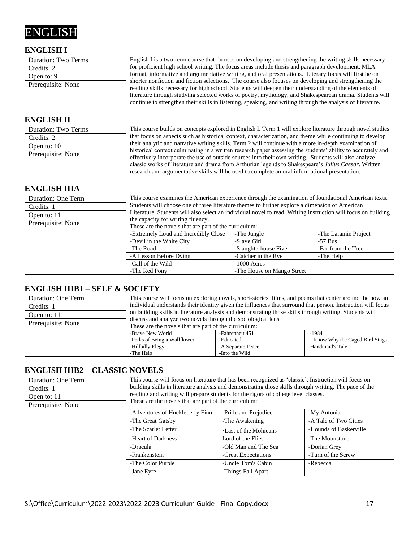## ENGLISH

#### **ENGLISH I**

| Duration: Two Terms | English I is a two-term course that focuses on developing and strengthening the writing skills necessary    |
|---------------------|-------------------------------------------------------------------------------------------------------------|
| Credits: 2          | for proficient high school writing. The focus areas include thesis and paragraph development, MLA           |
| Open to: 9          | format, informative and argumentative writing, and oral presentations. Literary focus will first be on      |
| Prerequisite: None  | shorter nonfiction and fiction selections. The course also focuses on developing and strengthening the      |
|                     | reading skills necessary for high school. Students will deepen their understanding of the elements of       |
|                     | literature through studying selected works of poetry, mythology, and Shakespearean drama. Students will     |
|                     | continue to strengthen their skills in listening, speaking, and writing through the analysis of literature. |

#### **ENGLISH II**

| Duration: Two Terms | This course builds on concepts explored in English I. Term 1 will explore literature through novel studies   |
|---------------------|--------------------------------------------------------------------------------------------------------------|
| Credits: 2          | that focus on aspects such as historical context, characterization, and theme while continuing to develop    |
| Open to: 10         | their analytic and narrative writing skills. Term 2 will continue with a more in-depth examination of        |
| Prerequisite: None  | historical context culminating in a written research paper assessing the students' ability to accurately and |
|                     | effectively incorporate the use of outside sources into their own writing. Students will also analyze        |
|                     | classic works of literature and drama from Arthurian legends to Shakespeare's Julius Caesar. Written         |
|                     | research and argumentative skills will be used to complete an oral informational presentation.               |

#### **ENGLISH IIIA**

| Duration: One Term | This course examines the American experience through the examination of foundational American texts.          |                            |                      |  |  |
|--------------------|---------------------------------------------------------------------------------------------------------------|----------------------------|----------------------|--|--|
| Credits: 1         | Students will choose one of three literature themes to further explore a dimension of American                |                            |                      |  |  |
| Open to: 11        | Literature. Students will also select an individual novel to read. Writing instruction will focus on building |                            |                      |  |  |
| Prerequisite: None | the capacity for writing fluency.                                                                             |                            |                      |  |  |
|                    | These are the novels that are part of the curriculum:                                                         |                            |                      |  |  |
|                    | -Extremely Loud and Incredibly Close                                                                          | -The Jungle                | -The Laramie Project |  |  |
|                    | -Devil in the White City<br>-Slave Girl<br>$-57$ Bus                                                          |                            |                      |  |  |
|                    | -The Road                                                                                                     | -Slaughterhouse Five       | -Far from the Tree   |  |  |
|                    | -A Lesson Before Dying                                                                                        | -Catcher in the Rye        | -The Help            |  |  |
|                    | -Call of the Wild                                                                                             | $-1000$ Acres              |                      |  |  |
|                    | -The Red Pony                                                                                                 | -The House on Mango Street |                      |  |  |

#### **ENGLISH IIIB1 – SELF & SOCIETY**

| Duration: One Term | This course will focus on exploring novels, short-stories, films, and poems that center around the how an    |                   |                  |  |
|--------------------|--------------------------------------------------------------------------------------------------------------|-------------------|------------------|--|
| Credits: 1         | individual understands their identity given the influences that surround that person. Instruction will focus |                   |                  |  |
| Open to: 11        | on building skills in literature analysis and demonstrating those skills through writing. Students will      |                   |                  |  |
| Prerequisite: None | discuss and analyze two novels through the sociological lens.                                                |                   |                  |  |
|                    | These are the novels that are part of the curriculum:                                                        |                   |                  |  |
|                    | -Fahrenheit 451<br>-Brave New World<br>$-1984$                                                               |                   |                  |  |
|                    | -Perks of Being a Wallflower<br>-I Know Why the Caged Bird Sings<br>-Educated                                |                   |                  |  |
|                    | -Hillbilly Elegy                                                                                             | -A Separate Peace | -Handmaid's Tale |  |
|                    | -Into the Wild<br>-The Help                                                                                  |                   |                  |  |

#### **ENGLISH IIIB2 – CLASSIC NOVELS**

| <b>Duration: One Term</b><br>Credits: 1<br>Open to: 11<br>Prerequisite: None | This course will focus on literature that has been recognized as 'classic'. Instruction will focus on<br>building skills in literature analysis and demonstrating those skills through writing. The pace of the<br>reading and writing will prepare students for the rigors of college level classes.<br>These are the novels that are part of the curriculum: |                       |                        |
|------------------------------------------------------------------------------|----------------------------------------------------------------------------------------------------------------------------------------------------------------------------------------------------------------------------------------------------------------------------------------------------------------------------------------------------------------|-----------------------|------------------------|
|                                                                              | -Adventures of Huckleberry Finn                                                                                                                                                                                                                                                                                                                                | -Pride and Prejudice  | -My Antonia            |
|                                                                              | -The Great Gatsby                                                                                                                                                                                                                                                                                                                                              | -The Awakening        | -A Tale of Two Cities  |
|                                                                              | -The Scarlet Letter                                                                                                                                                                                                                                                                                                                                            | -Last of the Mohicans | -Hounds of Baskerville |
|                                                                              | -Heart of Darkness                                                                                                                                                                                                                                                                                                                                             | Lord of the Flies     | -The Moonstone         |
|                                                                              | -Dracula                                                                                                                                                                                                                                                                                                                                                       | -Old Man and The Sea  | -Dorian Grey           |
|                                                                              | -Frankenstein                                                                                                                                                                                                                                                                                                                                                  | -Great Expectations   | -Turn of the Screw     |
|                                                                              | -The Color Purple                                                                                                                                                                                                                                                                                                                                              | -Uncle Tom's Cabin    | -Rebecca               |
|                                                                              | -Jane Eyre                                                                                                                                                                                                                                                                                                                                                     | -Things Fall Apart    |                        |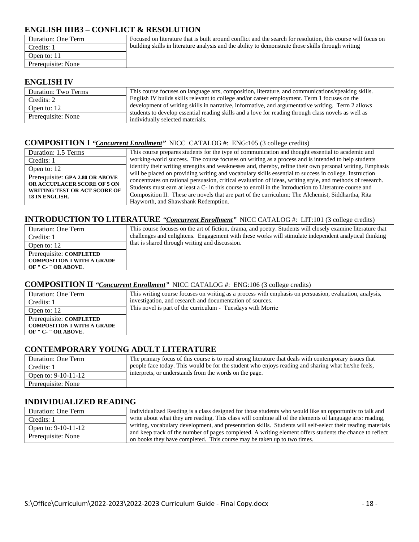#### **ENGLISH IIIB3 – CONFLICT & RESOLUTION**

| Duration: One Term | Focused on literature that is built around conflict and the search for resolution, this course will focus on |
|--------------------|--------------------------------------------------------------------------------------------------------------|
| Credits: 1         | building skills in literature analysis and the ability to demonstrate those skills through writing           |
| Open to: 11        |                                                                                                              |
| Prerequisite: None |                                                                                                              |

#### **ENGLISH IV**

| Duration: Two Terms | This course focuses on language arts, composition, literature, and communications/speaking skills.                                      |
|---------------------|-----------------------------------------------------------------------------------------------------------------------------------------|
| Credits: 2          | English IV builds skills relevant to college and/or career employment. Term 1 focuses on the                                            |
| Open to: 12         | development of writing skills in narrative, informative, and argumentative writing. Term 2 allows                                       |
| Prerequisite: None  | students to develop essential reading skills and a love for reading through class novels as well as<br>individually selected materials. |

#### **COMPOSITION I** *"Concurrent Enrollment"* NICCCATALOG #: ENG:105 (3 college credits)

| Duration: 1.5 Terms                                         | This course prepares students for the type of communication and thought essential to academic and                                                                                                                    |
|-------------------------------------------------------------|----------------------------------------------------------------------------------------------------------------------------------------------------------------------------------------------------------------------|
| Credits: 1                                                  | working-world success. The course focuses on writing as a process and is intended to help students                                                                                                                   |
| Open to: 12                                                 | identify their writing strengths and weaknesses and, thereby, refine their own personal writing. Emphasis                                                                                                            |
| Prerequisite: GPA 2.80 OR ABOVE                             | will be placed on providing writing and vocabulary skills essential to success in college. Instruction<br>concentrates on rational persuasion, critical evaluation of ideas, writing style, and methods of research. |
| OR ACCUPLACER SCORE OF 5 ON<br>WRITING TEST OR ACT SCORE OF | Students must earn at least a C- in this course to enroll in the Introduction to Literature course and                                                                                                               |
| 18 IN ENGLISH.                                              | Composition II. These are novels that are part of the curriculum: The Alchemist, Siddhartha, Rita                                                                                                                    |
|                                                             | Hayworth, and Shawshank Redemption.                                                                                                                                                                                  |

#### **INTRODUCTION TO LITERATURE** *"Concurrent Enrollment"* NICC CATALOG #: LIT:101 (3 college credits)

| This course focuses on the art of fiction, drama, and poetry. Students will closely examine literature that |
|-------------------------------------------------------------------------------------------------------------|
| challenges and enlightens. Engagement with these works will stimulate independent analytical thinking       |
| that is shared through writing and discussion.                                                              |
|                                                                                                             |
|                                                                                                             |
|                                                                                                             |
|                                                                                                             |

#### **COMPOSITION II** *"Concurrent Enrollment"* NICC CATALOG #: ENG:106 (3 college credits)

| Duration: One Term                                       | This writing course focuses on writing as a process with emphasis on persuasion, evaluation, analysis, |
|----------------------------------------------------------|--------------------------------------------------------------------------------------------------------|
| Credits: 1                                               | investigation, and research and documentation of sources.                                              |
| Open to: 12                                              | This novel is part of the curriculum - Tuesdays with Morrie                                            |
| Prerequisite: COMPLETED                                  |                                                                                                        |
| <b>COMPOSITION I WITH A GRADE</b><br>OF " C- " OR ABOVE. |                                                                                                        |
|                                                          |                                                                                                        |

#### **CONTEMPORARY YOUNG ADULT LITERATURE**

| Duration: One Term    | The primary focus of this course is to read strong literature that deals with contemporary issues that |
|-----------------------|--------------------------------------------------------------------------------------------------------|
| Credits: 1            | people face today. This would be for the student who enjoys reading and sharing what he/she feels,     |
| Open to: $9-10-11-12$ | interprets, or understands from the words on the page.                                                 |
| Prerequisite: None    |                                                                                                        |

#### **INDIVIDUALIZED READING**

| Duration: One Term  | Individualized Reading is a class designed for those students who would like an opportunity to talk and     |
|---------------------|-------------------------------------------------------------------------------------------------------------|
| Credits: 1          | write about what they are reading. This class will combine all of the elements of language arts: reading,   |
| Open to: 9-10-11-12 | writing, vocabulary development, and presentation skills. Students will self-select their reading materials |
| Prerequisite: None  | and keep track of the number of pages completed. A writing element offers students the chance to reflect    |
|                     | on books they have completed. This course may be taken up to two times.                                     |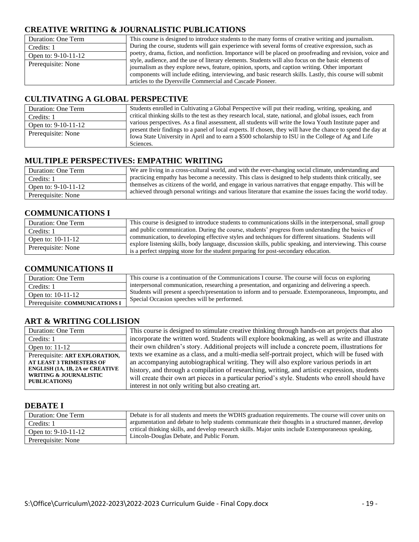#### **CREATIVE WRITING & JOURNALISTIC PUBLICATIONS**

| Duration: One Term  | This course is designed to introduce students to the many forms of creative writing and journalism.       |
|---------------------|-----------------------------------------------------------------------------------------------------------|
| Credits: 1          | During the course, students will gain experience with several forms of creative expression, such as       |
| Open to: 9-10-11-12 | poetry, drama, fiction, and nonfiction. Importance will be placed on proofreading and revision, voice and |
|                     | style, audience, and the use of literary elements. Students will also focus on the basic elements of      |
| Prerequisite: None  | journalism as they explore news, feature, opinion, sports, and caption writing. Other important           |
|                     | components will include editing, interviewing, and basic research skills. Lastly, this course will submit |
|                     | articles to the Dyersville Commercial and Cascade Pioneer.                                                |

#### **CULTIVATING A GLOBAL PERSPECTIVE**

| Duration: One Term    | Students enrolled in Cultivating a Global Perspective will put their reading, writing, speaking, and                                                                                                                                                                                                                                        |
|-----------------------|---------------------------------------------------------------------------------------------------------------------------------------------------------------------------------------------------------------------------------------------------------------------------------------------------------------------------------------------|
| Credits: 1            | critical thinking skills to the test as they research local, state, national, and global issues, each from                                                                                                                                                                                                                                  |
| Open to: $9-10-11-12$ | various perspectives. As a final assessment, all students will write the Iowa Youth Institute paper and<br>present their findings to a panel of local experts. If chosen, they will have the chance to spend the day at<br>Iowa State University in April and to earn a \$500 scholarship to ISU in the College of Ag and Life<br>Sciences. |
| Prerequisite: None    |                                                                                                                                                                                                                                                                                                                                             |

#### **MULTIPLE PERSPECTIVES: EMPATHIC WRITING**

| Duration: One Term    | We are living in a cross-cultural world, and with the ever-changing social climate, understanding and     |
|-----------------------|-----------------------------------------------------------------------------------------------------------|
| Credits: 1            | practicing empathy has become a necessity. This class is designed to help students think critically, see  |
| Open to: $9-10-11-12$ | themselves as citizens of the world, and engage in various narratives that engage empathy. This will be   |
| Prerequisite: None    | achieved through personal writings and various literature that examine the issues facing the world today. |

#### **COMMUNICATIONS I**

| Duration: One Term | This course is designed to introduce students to communications skills in the interpersonal, small group                                                                                          |
|--------------------|---------------------------------------------------------------------------------------------------------------------------------------------------------------------------------------------------|
| Credits: 1         | and public communication. During the course, students' progress from understanding the basics of                                                                                                  |
| Open to: 10-11-12  | communication, to developing effective styles and techniques for different situations. Students will                                                                                              |
| Prerequisite: None | explore listening skills, body language, discussion skills, public speaking, and interviewing. This course<br>is a perfect stepping stone for the student preparing for post-secondary education. |

#### **COMMUNICATIONS II**

| Duration: One Term             | This course is a continuation of the Communications I course. The course will focus on exploring                                                      |
|--------------------------------|-------------------------------------------------------------------------------------------------------------------------------------------------------|
| Credits: 1                     | interpersonal communication, researching a presentation, and organizing and delivering a speech.                                                      |
| Open to: $10-11-12$            | Students will present a speech/presentation to inform and to persuade. Extemporaneous, Impromptu, and<br>Special Occasion speeches will be performed. |
| Prerequisite: COMMUNICATIONS I |                                                                                                                                                       |

| Duration: One Term                                         | This course is designed to stimulate creative thinking through hands-on art projects that also   |
|------------------------------------------------------------|--------------------------------------------------------------------------------------------------|
| Credits: 1                                                 | incorporate the written word. Students will explore bookmaking, as well as write and illustrate  |
| Open to: $11-12$                                           | their own children's story. Additional projects will include a concrete poem, illustrations for  |
| Prerequisite: ART EXPLORATION,                             | texts we examine as a class, and a multi-media self-portrait project, which will be fused with   |
| <b>AT LEAST 3 TRIMESTERS OF</b>                            | an accompanying autobiographical writing. They will also explore various periods in art          |
| <b>ENGLISH (1A, 1B, 2A or CREATIVE</b>                     | history, and through a compilation of researching, writing, and artistic expression, students    |
| <b>WRITING &amp; JOURNALISTIC</b><br><b>PUBLICATIONS</b> ) | will create their own art pieces in a particular period's style. Students who enroll should have |
|                                                            | interest in not only writing but also creating art.                                              |

#### **ART & WRITING COLLISION**

#### **DEBATE I**

| Duration: One Term  | Debate is for all students and meets the WDHS graduation requirements. The course will cover units on |
|---------------------|-------------------------------------------------------------------------------------------------------|
| Credits: 1          | argumentation and debate to help students communicate their thoughts in a structured manner, develop  |
| Open to: 9-10-11-12 | critical thinking skills, and develop research skills. Major units include Extemporaneous speaking,   |
| Prerequisite: None  | Lincoln-Douglas Debate, and Public Forum.                                                             |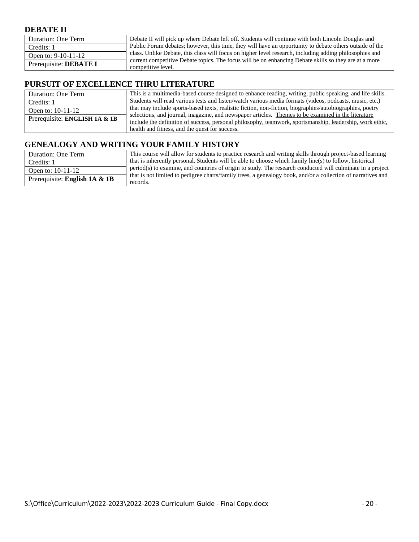#### **DEBATE II**

| Duration: One Term     | Debate II will pick up where Debate left off. Students will continue with both Lincoln Douglas and                          |
|------------------------|-----------------------------------------------------------------------------------------------------------------------------|
| Credits: 1             | Public Forum debates; however, this time, they will have an opportunity to debate others outside of the                     |
| Open to: $9-10-11-12$  | class. Unlike Debate, this class will focus on higher level research, including adding philosophies and                     |
| Prerequisite: DEBATE I | current competitive Debate topics. The focus will be on enhancing Debate skills so they are at a more<br>competitive level. |

#### **PURSUIT OF EXCELLENCE THRU LITERATURE**

| Duration: One Term            | This is a multimedia-based course designed to enhance reading, writing, public speaking, and life skills.                                                                                                      |
|-------------------------------|----------------------------------------------------------------------------------------------------------------------------------------------------------------------------------------------------------------|
| Credits: 1                    | Students will read various tests and listen/watch various media formats (videos, podcasts, music, etc.)                                                                                                        |
| Open to: $10-11-12$           | that may include sports-based texts, realistic fiction, non-fiction, biographies/autobiographies, poetry                                                                                                       |
| Prerequisite: ENGLISH 1A & 1B | selections, and journal, magazine, and newspaper articles. Themes to be examined in the literature<br>include the definition of success, personal philosophy, teamwork, sportsmanship, leadership, work ethic, |
|                               | health and fitness, and the quest for success.                                                                                                                                                                 |

#### **GENEALOGY AND WRITING YOUR FAMILY HISTORY**

| Duration: One Term            | This course will allow for students to practice research and writing skills through project-based learning               |
|-------------------------------|--------------------------------------------------------------------------------------------------------------------------|
| Credits: 1                    | that is inherently personal. Students will be able to choose which family line(s) to follow, historical                  |
| Open to: 10-11-12             | period(s) to examine, and countries of origin to study. The research conducted will culminate in a project               |
| Prerequisite: English 1A & 1B | that is not limited to pedigree charts/family trees, a genealogy book, and/or a collection of narratives and<br>records. |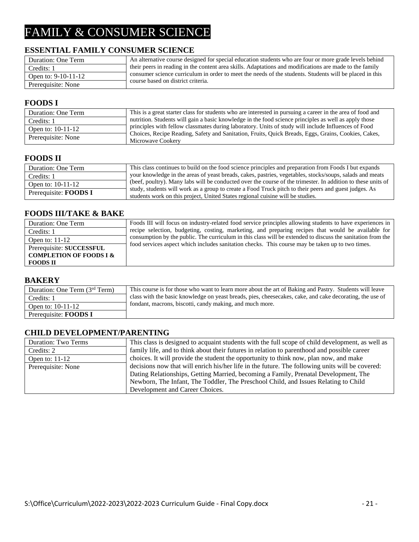## FAMILY & CONSUMER SCIENCE

#### **ESSENTIAL FAMILY CONSUMER SCIENCE**

| Duration: One Term    | An alternative course designed for special education students who are four or more grade levels behind  |
|-----------------------|---------------------------------------------------------------------------------------------------------|
| Credits: 1            | their peers in reading in the content area skills. Adaptations and modifications are made to the family |
| Open to: $9-10-11-12$ | consumer science curriculum in order to meet the needs of the students. Students will be placed in this |
| Prerequisite: None    | course based on district criteria.                                                                      |

#### **FOODS I**

| Duration: One Term  | This is a great starter class for students who are interested in pursuing a career in the area of food and               |
|---------------------|--------------------------------------------------------------------------------------------------------------------------|
| Credits: 1          | nutrition. Students will gain a basic knowledge in the food science principles as well as apply those                    |
| Open to: $10-11-12$ | principles with fellow classmates during laboratory. Units of study will include Influences of Food                      |
| Prerequisite: None  | Choices, Recipe Reading, Safety and Sanitation, Fruits, Quick Breads, Eggs, Grains, Cookies, Cakes,<br>Microwave Cookery |

#### **FOODS II**

| Duration: One Term           | This class continues to build on the food science principles and preparation from Foods I but expands                                                                                   |
|------------------------------|-----------------------------------------------------------------------------------------------------------------------------------------------------------------------------------------|
| Credits: 1                   | your knowledge in the areas of yeast breads, cakes, pastries, vegetables, stocks/soups, salads and meats                                                                                |
| Open to: 10-11-12            | (beef, poultry). Many labs will be conducted over the course of the trimester. In addition to these units of                                                                            |
| Prerequisite: <b>FOODS</b> I | study, students will work as a group to create a Food Truck pitch to their peers and guest judges. As<br>students work on this project, United States regional cuisine will be studies. |

#### **FOODS III/TAKE & BAKE**

| Foods III will focus on industry-related food service principles allowing students to have experiences in   |
|-------------------------------------------------------------------------------------------------------------|
| recipe selection, budgeting, costing, marketing, and preparing recipes that would be available for          |
| consumption by the public. The curriculum in this class will be extended to discuss the sanitation from the |
| food services aspect which includes sanitation checks. This course may be taken up to two times.            |
|                                                                                                             |
|                                                                                                             |
|                                                                                                             |

#### **BAKERY**

| Duration: One Term $(3rd Term)$ | This course is for those who want to learn more about the art of Baking and Pastry. Students will leave  |
|---------------------------------|----------------------------------------------------------------------------------------------------------|
| Credits: 1                      | class with the basic knowledge on yeast breads, pies, cheesecakes, cake, and cake decorating, the use of |
| Open to: $10-11-12$             | fondant, macrons, biscotti, candy making, and much more.                                                 |
| Prerequisite: <b>FOODS</b> I    |                                                                                                          |

#### **CHILD DEVELOPMENT/PARENTING**

| Duration: Two Terms | This class is designed to acquaint students with the full scope of child development, as well as |
|---------------------|--------------------------------------------------------------------------------------------------|
| Credits: 2          | family life, and to think about their futures in relation to parenthood and possible career      |
| Open to: $11-12$    | choices. It will provide the student the opportunity to think now, plan now, and make            |
| Prerequisite: None  | decisions now that will enrich his/her life in the future. The following units will be covered:  |
|                     | Dating Relationships, Getting Married, becoming a Family, Prenatal Development, The              |
|                     | Newborn, The Infant, The Toddler, The Preschool Child, and Issues Relating to Child              |
|                     | Development and Career Choices.                                                                  |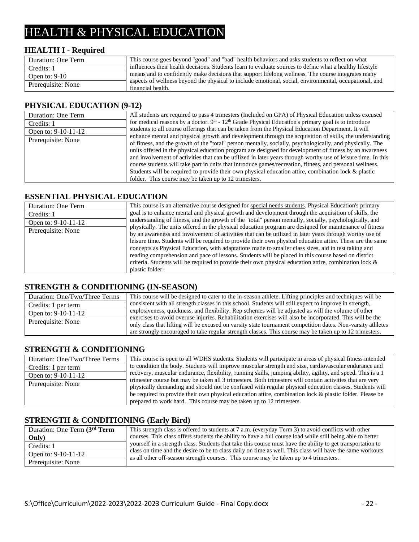## HEALTH & PHYSICAL EDUCATION

#### **HEALTH I - Required**

| Duration: One Term | This course goes beyond "good" and "bad" health behaviors and asks students to reflect on what           |
|--------------------|----------------------------------------------------------------------------------------------------------|
| Credits: 1         | influences their health decisions. Students learn to evaluate sources to define what a healthy lifestyle |
| Open to: $9-10$    | means and to confidently make decisions that support lifelong wellness. The course integrates many       |
|                    | aspects of wellness beyond the physical to include emotional, social, environmental, occupational, and   |
| Prerequisite: None | financial health.                                                                                        |

#### **PHYSICAL EDUCATION (9-12)**

| Duration: One Term  | All students are required to pass 4 trimesters (Included on GPA) of Physical Education unless excused                                                                                                                                                                                                                                                                                                                                                                                                                                                                                                                                                                                                                         |
|---------------------|-------------------------------------------------------------------------------------------------------------------------------------------------------------------------------------------------------------------------------------------------------------------------------------------------------------------------------------------------------------------------------------------------------------------------------------------------------------------------------------------------------------------------------------------------------------------------------------------------------------------------------------------------------------------------------------------------------------------------------|
| Credits: 1          | for medical reasons by a doctor. $9th - 12th$ Grade Physical Education's primary goal is to introduce                                                                                                                                                                                                                                                                                                                                                                                                                                                                                                                                                                                                                         |
| Open to: 9-10-11-12 | students to all course offerings that can be taken from the Physical Education Department. It will                                                                                                                                                                                                                                                                                                                                                                                                                                                                                                                                                                                                                            |
| Prerequisite: None  | enhance mental and physical growth and development through the acquisition of skills, the understanding<br>of fitness, and the growth of the "total" person mentally, socially, psychologically, and physically. The<br>units offered in the physical education program are designed for development of fitness by an awareness<br>and involvement of activities that can be utilized in later years through worthy use of leisure time. In this<br>course students will take part in units that introduce games/recreation, fitness, and personal wellness.<br>Students will be required to provide their own physical education attire, combination lock & plastic<br>folder. This course may be taken up to 12 trimesters. |

#### **ESSENTIAL PHYSICAL EDUCATION**

| Duration: One Term  | This course is an alternative course designed for special needs students. Physical Education's primary     |
|---------------------|------------------------------------------------------------------------------------------------------------|
| Credits: 1          | goal is to enhance mental and physical growth and development through the acquisition of skills, the       |
| Open to: 9-10-11-12 | understanding of fitness, and the growth of the "total" person mentally, socially, psychologically, and    |
| Prerequisite: None  | physically. The units offered in the physical education program are designed for maintenance of fitness    |
|                     | by an awareness and involvement of activities that can be utilized in later years through worthy use of    |
|                     | leisure time. Students will be required to provide their own physical education attire. These are the same |
|                     | concepts as Physical Education, with adaptations made to smaller class sizes, aid in test taking and       |
|                     | reading comprehension and pace of lessons. Students will be placed in this course based on district        |
|                     | criteria. Students will be required to provide their own physical education attire, combination lock $\&$  |
|                     | plastic folder.                                                                                            |

#### **STRENGTH & CONDITIONING (IN-SEASON)**

| Duration: One/Two/Three Terms | This course will be designed to cater to the in-season at hete. Lifting principles and techniques will be                                                                                                                |
|-------------------------------|--------------------------------------------------------------------------------------------------------------------------------------------------------------------------------------------------------------------------|
| Credits: 1 per term           | consistent with all strength classes in this school. Students will still expect to improve in strength,                                                                                                                  |
| Open to: 9-10-11-12           | explosiveness, quickness, and flexibility. Rep schemes will be adjusted as will the volume of other                                                                                                                      |
| Prerequisite: None            | exercises to avoid overuse injuries. Rehabilitation exercises will also be incorporated. This will be the<br>only class that lifting will be excused on varsity state tournament competition dates. Non-varsity athletes |
|                               | are strongly encouraged to take regular strength classes. This course may be taken up to 12 trimesters.                                                                                                                  |

#### **STRENGTH & CONDITIONING**

| Duration: One/Two/Three Terms | This course is open to all WDHS students. Students will participate in areas of physical fitness intended   |
|-------------------------------|-------------------------------------------------------------------------------------------------------------|
| Credits: 1 per term           | to condition the body. Students will improve muscular strength and size, cardiovascular endurance and       |
| Open to: $9-10-11-12$         | recovery, muscular endurance, flexibility, running skills, jumping ability, agility, and speed. This is a 1 |
|                               | trimester course but may be taken all 3 trimesters. Both trimesters will contain activities that are very   |
| Prerequisite: None            | physically demanding and should not be confused with regular physical education classes. Students will      |
|                               | be required to provide their own physical education attire, combination lock & plastic folder. Please be    |
|                               | prepared to work hard. This course may be taken up to 12 trimesters.                                        |

#### **STRENGTH & CONDITIONING (Early Bird)**

| Duration: One Term (3rd Term | This strength class is offered to students at 7 a.m. (everyday Term 3) to avoid conflicts with other                                                                                                |
|------------------------------|-----------------------------------------------------------------------------------------------------------------------------------------------------------------------------------------------------|
| Only)                        | courses. This class offers students the ability to have a full course load while still being able to better                                                                                         |
| Credits: 1                   | yourself in a strength class. Students that take this course must have the ability to get transportation to                                                                                         |
| Open to: 9-10-11-12          | class on time and the desire to be to class daily on time as well. This class will have the same workouts<br>as all other off-season strength courses. This course may be taken up to 4 trimesters. |
| Prerequisite: None           |                                                                                                                                                                                                     |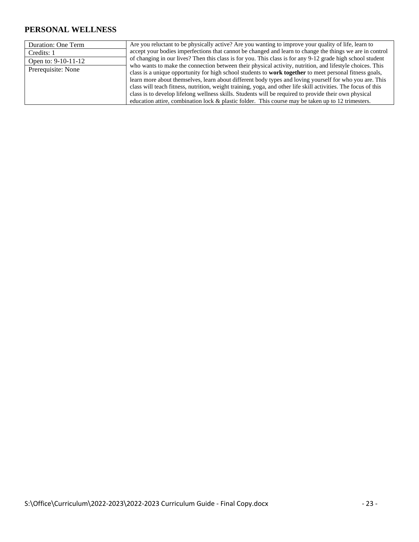#### **PERSONAL WELLNESS**

| Duration: One Term  | Are you reluctant to be physically active? Are you wanting to improve your quality of life, learn to           |
|---------------------|----------------------------------------------------------------------------------------------------------------|
| Credits: 1          | accept your bodies imperfections that cannot be changed and learn to change the things we are in control       |
| Open to: 9-10-11-12 | of changing in our lives? Then this class is for you. This class is for any 9-12 grade high school student     |
| Prerequisite: None  | who wants to make the connection between their physical activity, nutrition, and lifestyle choices. This       |
|                     | class is a unique opportunity for high school students to work together to meet personal fitness goals,        |
|                     | learn more about themselves, learn about different body types and loving yourself for who you are. This        |
|                     | class will teach fitness, nutrition, weight training, yoga, and other life skill activities. The focus of this |
|                     | class is to develop lifelong wellness skills. Students will be required to provide their own physical          |
|                     | education attire, combination lock $\&$ plastic folder. This course may be taken up to 12 trimesters.          |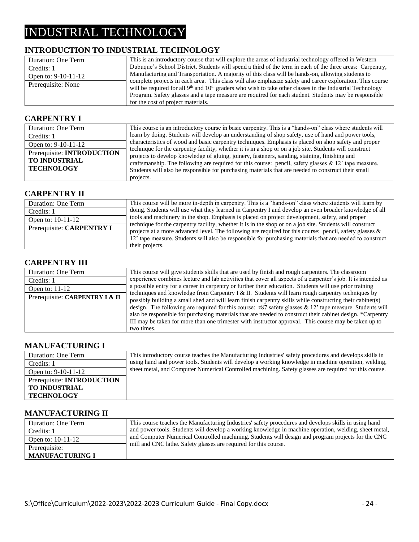## INDUSTRIAL TECHNOLOGY

#### **INTRODUCTION TO INDUSTRIAL TECHNOLOGY**

| Duration: One Term    | This is an introductory course that will explore the areas of industrial technology offered in Western        |
|-----------------------|---------------------------------------------------------------------------------------------------------------|
| Credits: 1            | Dubuque's School District. Students will spend a third of the term in each of the three areas: Carpentry,     |
| Open to: $9-10-11-12$ | Manufacturing and Transportation. A majority of this class will be hands-on, allowing students to             |
| Prerequisite: None    | complete projects in each area. This class will also emphasize safety and career exploration. This course     |
|                       | will be required for all $9th$ and $10th$ graders who wish to take other classes in the Industrial Technology |
|                       | Program. Safety glasses and a tape measure are required for each student. Students may be responsible         |
|                       | for the cost of project materials.                                                                            |

#### **CARPENTRY I**

| Duration: One Term                | This course is an introductory course in basic carpentry. This is a "hands-on" class where students will |
|-----------------------------------|----------------------------------------------------------------------------------------------------------|
| Credits: 1                        | learn by doing. Students will develop an understanding of shop safety, use of hand and power tools,      |
| Open to: 9-10-11-12               | characteristics of wood and basic carpentry techniques. Emphasis is placed on shop safety and proper     |
| Prerequisite: <b>INTRODUCTION</b> | technique for the carpentry facility, whether it is in a shop or on a job site. Students will construct  |
|                                   | projects to develop knowledge of gluing, joinery, fasteners, sanding, staining, finishing and            |
| <b>TO INDUSTRIAL</b>              | craftsmanship. The following are required for this course: pencil, safety glasses $\& 12'$ tape measure. |
| <b>TECHNOLOGY</b>                 | Students will also be responsible for purchasing materials that are needed to construct their small      |
|                                   | projects.                                                                                                |

#### **CARPENTRY II**

| Duration: One Term        | This course will be more in-depth in carpentry. This is a "hands-on" class where students will learn by                                                                                                                 |
|---------------------------|-------------------------------------------------------------------------------------------------------------------------------------------------------------------------------------------------------------------------|
| Credits: 1                | doing. Students will use what they learned in Carpentry I and develop an even broader knowledge of all                                                                                                                  |
| Open to: 10-11-12         | tools and machinery in the shop. Emphasis is placed on project development, safety, and proper                                                                                                                          |
| Prerequisite: CARPENTRY I | technique for the carpentry facility, whether it is in the shop or on a job site. Students will construct<br>projects at a more advanced level. The following are required for this course: pencil, safety glasses $\&$ |
|                           | 12' tape measure. Students will also be responsible for purchasing materials that are needed to construct                                                                                                               |
|                           | their projects.                                                                                                                                                                                                         |

#### **CARPENTRY III**

| Duration: One Term             | This course will give students skills that are used by finish and rough carpenters. The classroom             |
|--------------------------------|---------------------------------------------------------------------------------------------------------------|
| Credits: 1                     | experience combines lecture and lab activities that cover all aspects of a carpenter's job. It is intended as |
| Open to: $11-12$               | a possible entry for a career in carpentry or further their education. Students will use prior training       |
| Prerequisite: CARPENTRY I & II | techniques and knowledge from Carpentry I & II. Students will learn rough carpentry techniques by             |
|                                | possibly building a small shed and will learn finish carpentry skills while constructing their cabinet(s)     |
|                                | design. The following are required for this course: $z87$ safety glasses & 12' tape measure. Students will    |
|                                | also be responsible for purchasing materials that are needed to construct their cabinet design. *Carpentry    |
|                                | III may be taken for more than one trimester with instructor approval. This course may be taken up to         |
|                                | two times.                                                                                                    |

#### **MANUFACTURING I**

| Duration: One Term                | This introductory course teaches the Manufacturing Industries' safety procedures and develops skills in |
|-----------------------------------|---------------------------------------------------------------------------------------------------------|
| Credits: 1                        | using hand and power tools. Students will develop a working knowledge in machine operation, welding,    |
| Open to: $9-10-11-12$             | sheet metal, and Computer Numerical Controlled machining. Safety glasses are required for this course.  |
| Prerequisite: <b>INTRODUCTION</b> |                                                                                                         |
| <b>TO INDUSTRIAL</b>              |                                                                                                         |
| <b>TECHNOLOGY</b>                 |                                                                                                         |

#### **MANUFACTURING II**

| Duration: One Term     | This course teaches the Manufacturing Industries' safety procedures and develops skills in using hand  |
|------------------------|--------------------------------------------------------------------------------------------------------|
| Credits: 1             | and power tools. Students will develop a working knowledge in machine operation, welding, sheet metal, |
| Open to: $10-11-12$    | and Computer Numerical Controlled machining. Students will design and program projects for the CNC     |
| Prerequisite:          | mill and CNC lathe. Safety glasses are required for this course.                                       |
| <b>MANUFACTURING I</b> |                                                                                                        |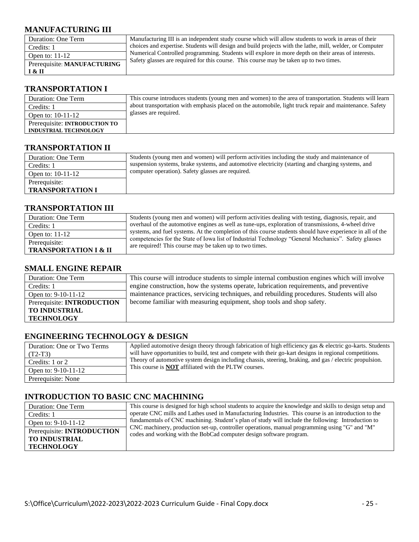#### **MANUFACTURING III**

| Duration: One Term          | Manufacturing III is an independent study course which will allow students to work in areas of their     |
|-----------------------------|----------------------------------------------------------------------------------------------------------|
| Credits: 1                  | choices and expertise. Students will design and build projects with the lathe, mill, welder, or Computer |
| Open to: $11-12$            | Numerical Controlled programming. Students will explore in more depth on their areas of interests.       |
| Prerequisite: MANUFACTURING | Safety glasses are required for this course. This course may be taken up to two times.                   |
| I & II                      |                                                                                                          |

#### **TRANSPORTATION I**

| Duration: One Term            | This course introduces students (young men and women) to the area of transportation. Students will learn |
|-------------------------------|----------------------------------------------------------------------------------------------------------|
| Credits: 1                    | about transportation with emphasis placed on the automobile, light truck repair and maintenance. Safety  |
| Open to: $10-11-12$           | glasses are required.                                                                                    |
| Prerequisite: INTRODUCTION TO |                                                                                                          |
| <b>INDUSTRIAL TECHNOLOGY</b>  |                                                                                                          |

#### **TRANSPORTATION II**

| Duration: One Term      | Students (young men and women) will perform activities including the study and maintenance of     |
|-------------------------|---------------------------------------------------------------------------------------------------|
| Credits: 1              | suspension systems, brake systems, and automotive electricity (starting and charging systems, and |
| Open to: $10-11-12$     | computer operation). Safety glasses are required.                                                 |
| Prerequisite:           |                                                                                                   |
| <b>TRANSPORTATION I</b> |                                                                                                   |

#### **TRANSPORTATION III**

| Duration: One Term                                | Students (young men and women) will perform activities dealing with testing, diagnosis, repair, and                                                                                                                                                                          |
|---------------------------------------------------|------------------------------------------------------------------------------------------------------------------------------------------------------------------------------------------------------------------------------------------------------------------------------|
| Credits: 1                                        | overhaul of the automotive engines as well as tune-ups, exploration of transmissions, 4-wheel drive                                                                                                                                                                          |
| Open to: $11-12$                                  | systems, and fuel systems. At the completion of this course students should have experience in all of the<br>competencies for the State of Iowa list of Industrial Technology "General Mechanics". Safety glasses<br>are required! This course may be taken up to two times. |
| Prerequisite:<br><b>TRANSPORTATION I &amp; II</b> |                                                                                                                                                                                                                                                                              |

#### **SMALL ENGINE REPAIR**

| Duration: One Term                | This course will introduce students to simple internal combustion engines which will involve |
|-----------------------------------|----------------------------------------------------------------------------------------------|
| Credits: 1                        | engine construction, how the systems operate, lubrication requirements, and preventive       |
| Open to: 9-10-11-12               | maintenance practices, servicing techniques, and rebuilding procedures. Students will also   |
| Prerequisite: <b>INTRODUCTION</b> | become familiar with measuring equipment, shop tools and shop safety.                        |
| <b>TO INDUSTRIAL</b>              |                                                                                              |
| <b>TECHNOLOGY</b>                 |                                                                                              |

#### **ENGINEERING TECHNOLOGY & DESIGN**

| Duration: One or Two Terms | Applied automotive design theory through fabrication of high efficiency gas & electric go-karts. Students |
|----------------------------|-----------------------------------------------------------------------------------------------------------|
| $(T2-T3)$                  | will have opportunities to build, test and compete with their go-kart designs in regional competitions.   |
| Credits: 1 or 2            | Theory of automotive system design including chassis, steering, braking, and gas / electric propulsion.   |
| Open to: 9-10-11-12        | This course is <b>NOT</b> affiliated with the PLTW courses.                                               |
| Prerequisite: None         |                                                                                                           |

#### **INTRODUCTION TO BASIC CNC MACHINING**

| Duration: One Term                | This course is designed for high school students to acquire the knowledge and skills to design setup and                                                             |
|-----------------------------------|----------------------------------------------------------------------------------------------------------------------------------------------------------------------|
| Credits: 1                        | operate CNC mills and Lathes used in Manufacturing Industries. This course is an introduction to the                                                                 |
| Open to: 9-10-11-12               | fundamentals of CNC machining. Student's plan of study will include the following: Introduction to                                                                   |
| Prerequisite: <b>INTRODUCTION</b> | CNC machinery, production set-up, controller operations, manual programming using "G" and "M"<br>codes and working with the BobCad computer design software program. |
| <b>TO INDUSTRIAL</b>              |                                                                                                                                                                      |
| <b>TECHNOLOGY</b>                 |                                                                                                                                                                      |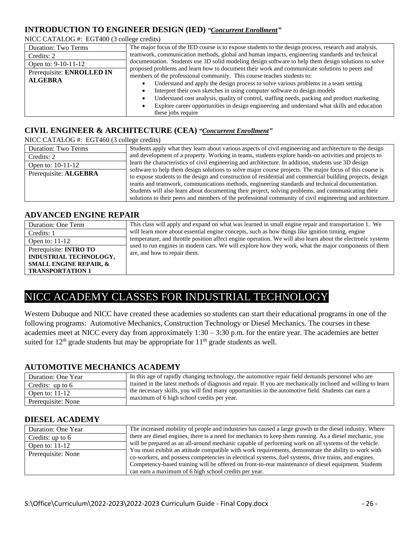#### **INTRODUCTION TO ENGINEER DESIGN (IED)** *"Concurrent Enrollment"*

NICC CATALOG #: EGT400 (3 college credits)

| <b>Duration: Two Terms</b> | The major focus of the IED course is to expose students to the design process, research and analysis,    |
|----------------------------|----------------------------------------------------------------------------------------------------------|
| Credits: 2                 | teamwork, communication methods, global and human impacts, engineering standards and technical           |
| Open to: 9-10-11-12        | documentation. Students use 3D solid modeling design software to help them design solutions to solve     |
| Prerequisite: ENROLLED IN  | proposed problems and learn how to document their work and communicate solutions to peers and            |
| <b>ALGEBRA</b>             | members of the professional community. This course teaches students to:                                  |
|                            | Understand and apply the design process to solve various problems in a team setting<br>$\bullet$         |
|                            | Interpret their own sketches in using computer software to design models<br>$\bullet$                    |
|                            | Understand cost analysis, quality of control, staffing needs, packing and product marketing<br>$\bullet$ |
|                            | Explore career opportunities in design engineering and understand what skills and education<br>٠         |
|                            | these jobs require                                                                                       |

#### **CIVIL ENGINEER & ARCHITECTURE (CEA)** *"Concurrent Enrollment"*

NICC CATALOG #: EGT460 (3 college credits)

| THE CALIBOUR. EQTTO 15 CONCEVERING |                                                                                                                                                                                                                       |
|------------------------------------|-----------------------------------------------------------------------------------------------------------------------------------------------------------------------------------------------------------------------|
| <b>Duration: Two Terms</b>         | Students apply what they learn about various aspects of civil engineering and architecture to the design                                                                                                              |
| Credits: 2                         | and development of a property. Working in teams, students explore hands-on activities and projects to                                                                                                                 |
| Open to: $10-11-12$                | learn the characteristics of civil engineering and architecture. In addition, students use 3D design                                                                                                                  |
| Prerequisite: ALGEBRA              | software to help them design solutions to solve major course projects. The major focus of this course is<br>to expose students to the design and construction of residential and commercial building projects, design |
|                                    | teams and teamwork, communications methods, engineering standards and technical documentation.                                                                                                                        |
|                                    | Students will also learn about documenting their project, solving problems, and communicating their                                                                                                                   |
|                                    | solutions to their peers and members of the professional community of civil engineering and architecture.                                                                                                             |

#### **ADVANCED ENGINE REPAIR**

| Duration: One Term                | This class will apply and expand on what was learned in small engine repair and transportation 1. We                                 |
|-----------------------------------|--------------------------------------------------------------------------------------------------------------------------------------|
| Credits: 1                        | will learn more about essential engine concepts, such as how things like ignition timing, engine                                     |
| Open to: $11-12$                  | temperature, and throttle position affect engine operation. We will also learn about the electronic systems                          |
| Prerequisite: <b>INTRO TO</b>     | used to run engines in modern cars. We will explore how they work, what the major components of them<br>are, and how to repair them. |
| INDUSTRIAL TECHNOLOGY,            |                                                                                                                                      |
| <b>SMALL ENGINE REPAIR, &amp;</b> |                                                                                                                                      |
| <b>TRANSPORTATION 1</b>           |                                                                                                                                      |

#### NICC ACADEMY CLASSES FOR INDUSTRIAL TECHNOLOGY

Western Dubuque and NICC have created these academies so students can start their educational programs in one of the following programs: Automotive Mechanics, Construction Technology or Diesel Mechanics. The courses in these academies meet at NICC every day from approximately 1:30 – 3:30 p.m. for the entire year. The academies are better suited for  $12<sup>th</sup>$  grade students but may be appropriate for  $11<sup>th</sup>$  grade students as well.

#### **AUTOMOTIVE MECHANICS ACADEMY**

| Duration: One Year | In this age of rapidly changing technology, the automotive repair field demands personnel who are            |
|--------------------|--------------------------------------------------------------------------------------------------------------|
| Credits: up to $6$ | trained in the latest methods of diagnosis and repair. If you are mechanically inclined and willing to learn |
| Open to: $11-12$   | the necessary skills, you will find many opportunities in the automotive field. Students can earn a          |
| Prerequisite: None | maximum of 6 high school credits per year.                                                                   |

#### **DIESEL ACADEMY**

| Duration: One Year | The increased mobility of people and industries has caused a large growth in the diesel industry. Where |
|--------------------|---------------------------------------------------------------------------------------------------------|
| Credits: up to $6$ | there are diesel engines, there is a need for mechanics to keep them running. As a diesel mechanic, you |
| Open to: $11-12$   | will be prepared as an all-around mechanic capable of performing work on all systems of the vehicle.    |
|                    | You must exhibit an attitude compatible with work requirements, demonstrate the ability to work with    |
| Prerequisite: None | co-workers, and possess competencies in electrical systems, fuel systems, drive trains, and engines.    |
|                    | Competency-based training will be offered on front-to-rear maintenance of diesel equipment. Students    |
|                    | can earn a maximum of 6 high school credits per year.                                                   |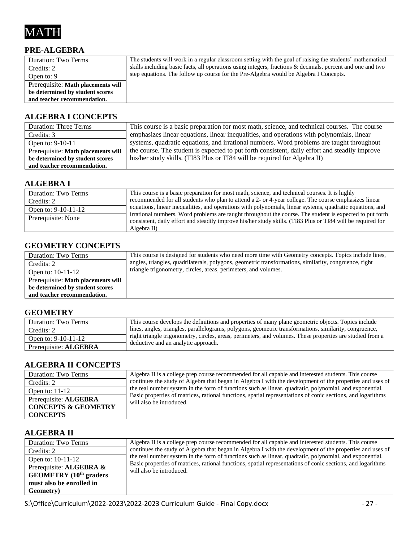

#### **PRE-ALGEBRA**

| Duration: Two Terms                | The students will work in a regular classroom setting with the goal of raising the students' mathematical  |
|------------------------------------|------------------------------------------------------------------------------------------------------------|
| Credits: 2                         | skills including basic facts, all operations using integers, fractions & decimals, percent and one and two |
| Open to: 9                         | step equations. The follow up course for the Pre-Algebra would be Algebra I Concepts.                      |
| Prerequisite: Math placements will |                                                                                                            |
| be determined by student scores    |                                                                                                            |
| and teacher recommendation.        |                                                                                                            |

#### **ALGEBRA I CONCEPTS**

| <b>Duration: Three Terms</b>       | This course is a basic preparation for most math, science, and technical courses. The course   |
|------------------------------------|------------------------------------------------------------------------------------------------|
| Credits: 3                         | emphasizes linear equations, linear inequalities, and operations with polynomials, linear      |
| Open to: 9-10-11                   | systems, quadratic equations, and irrational numbers. Word problems are taught throughout      |
| Prerequisite: Math placements will | the course. The student is expected to put forth consistent, daily effort and steadily improve |
| be determined by student scores    | his/her study skills. (TI83 Plus or TI84 will be required for Algebra II)                      |
| and teacher recommendation.        |                                                                                                |

#### **ALGEBRA I**

| Duration: Two Terms   | This course is a basic preparation for most math, science, and technical courses. It is highly                                                                                                                                         |
|-----------------------|----------------------------------------------------------------------------------------------------------------------------------------------------------------------------------------------------------------------------------------|
| Credits: 2            | recommended for all students who plan to attend a 2- or 4-year college. The course emphasizes linear                                                                                                                                   |
| Open to: $9-10-11-12$ | equations, linear inequalities, and operations with polynomials, linear systems, quadratic equations, and                                                                                                                              |
| Prerequisite: None    | irrational numbers. Word problems are taught throughout the course. The student is expected to put forth<br>consistent, daily effort and steadily improve his/her study skills. (TI83 Plus or TI84 will be required for<br>Algebra II) |

#### **GEOMETRY CONCEPTS**

| Duration: Two Terms                | This course is designed for students who need more time with Geometry concepts. Topics include lines, |
|------------------------------------|-------------------------------------------------------------------------------------------------------|
| Credits: 2                         | angles, triangles, quadrilaterals, polygons, geometric transformations, similarity, congruence, right |
| Open to: $10-11-12$                | triangle trigonometry, circles, areas, perimeters, and volumes.                                       |
| Prerequisite: Math placements will |                                                                                                       |
| be determined by student scores    |                                                                                                       |
| and teacher recommendation.        |                                                                                                       |

#### **GEOMETRY**

| <b>Duration: Two Terms</b> | This course develops the definitions and properties of many plane geometric objects. Topics include                                              |
|----------------------------|--------------------------------------------------------------------------------------------------------------------------------------------------|
| Credits: 2                 | lines, angles, triangles, parallelograms, polygons, geometric transformations, similarity, congruence,                                           |
| Open to: $9-10-11-12$      | right triangle trigonometry, circles, areas, perimeters, and volumes. These properties are studied from a<br>deductive and an analytic approach. |
| Prerequisite: ALGEBRA      |                                                                                                                                                  |

#### **ALGEBRA II CONCEPTS**

| Duration: Two Terms            | Algebra II is a college prep course recommended for all capable and interested students. This course                                    |
|--------------------------------|-----------------------------------------------------------------------------------------------------------------------------------------|
| Credits: 2                     | continues the study of Algebra that began in Algebra I with the development of the properties and uses of                               |
| Open to: $11-12$               | the real number system in the form of functions such as linear, quadratic, polynomial, and exponential.                                 |
| Prerequisite: ALGEBRA          | Basic properties of matrices, rational functions, spatial representations of conic sections, and logarithms<br>will also be introduced. |
| <b>CONCEPTS &amp; GEOMETRY</b> |                                                                                                                                         |
| <b>CONCEPTS</b>                |                                                                                                                                         |

#### **ALGEBRA II**

| Duration: Two Terms                                                                                    | Algebra II is a college prep course recommended for all capable and interested students. This course                                    |
|--------------------------------------------------------------------------------------------------------|-----------------------------------------------------------------------------------------------------------------------------------------|
| Credits: 2                                                                                             | continues the study of Algebra that began in Algebra I with the development of the properties and uses of                               |
| Open to: 10-11-12                                                                                      | the real number system in the form of functions such as linear, quadratic, polynomial, and exponential.                                 |
| Prerequisite: ALGEBRA $\&$<br><b>GEOMETRY</b> $(10th$ graders<br>must also be enrolled in<br>Geometry) | Basic properties of matrices, rational functions, spatial representations of conic sections, and logarithms<br>will also be introduced. |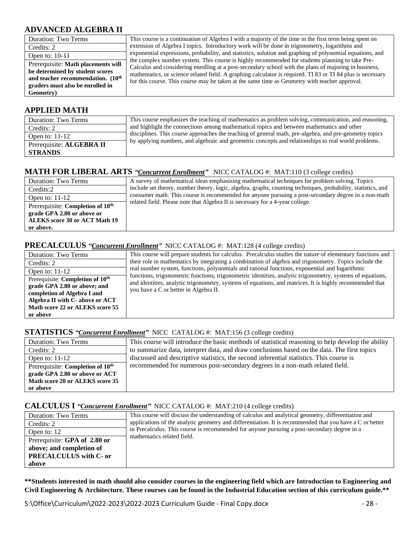#### **ADVANCED ALGEBRA II**

| <b>Duration: Two Terms</b>                    | This course is a continuation of Algebra I with a majority of the time in the first term being spent on                                                                                                             |
|-----------------------------------------------|---------------------------------------------------------------------------------------------------------------------------------------------------------------------------------------------------------------------|
| Credits: 2                                    | extension of Algebra I topics. Introductory work will be done in trigonometry, logarithms and                                                                                                                       |
| Open to: $10-11$                              | exponential expressions, probability, and statistics, solution and graphing of polynomial equations, and                                                                                                            |
| Prerequisite: Math placements will            | the complex number system. This course is highly recommended for students planning to take Pre-                                                                                                                     |
| be determined by student scores               | Calculus and considering enrolling at a post-secondary school with the plans of majoring in business,<br>mathematics, or science related field. A graphing calculator is required. TI 83 or TI 84 plus is necessary |
| and teacher recommendation. (10 <sup>th</sup> | for this course. This course may be taken at the same time as Geometry with teacher approval.                                                                                                                       |
| graders must also be enrolled in              |                                                                                                                                                                                                                     |
| Geometry)                                     |                                                                                                                                                                                                                     |

#### **APPLIED MATH**

| Duration: Two Terms      | This course emphasizes the teaching of mathematics as problem solving, communication, and reasoning,   |
|--------------------------|--------------------------------------------------------------------------------------------------------|
| Credits: 2               | and highlight the connections among mathematical topics and between mathematics and other              |
| Open to: $11-12$         | disciplines. This course approaches the teaching of general math, pre-algebra, and pre-geometry topics |
| Prerequisite: ALGEBRA II | by applying numbers, and algebraic and geometric concepts and relationships to real world problems.    |
| <b>STRANDS</b>           |                                                                                                        |

#### **MATH FOR LIBERAL ARTS** *"Concurrent Enrollment"* NICC CATALOG #: MAT:110 (3 college credits)

| Duration: Two Terms                          | A survey of mathematical ideas emphasizing mathematical techniques for problem solving. Topics               |
|----------------------------------------------|--------------------------------------------------------------------------------------------------------------|
| Credits:2                                    | include set theory, number theory, logic, algebra, graphs, counting techniques, probability, statistics, and |
| Open to: $11-12$                             | consumer math. This course is recommended for anyone pursuing a post-secondary degree in a non-math          |
| Prerequisite: Completion of 10 <sup>th</sup> | related field. Please note that Algebra II is necessary for a 4-year college.                                |
| grade GPA 2.80 or above or                   |                                                                                                              |
| <b>ALEKS</b> score 30 or ACT Math 19         |                                                                                                              |
| or above.                                    |                                                                                                              |

#### **PRECALCULUS** *"Concurrent Enrollment"* NICC CATALOG #: MAT:128 (4 college credits)

| Duration: Two Terms                                                          | This course will prepare students for calculus. Precalculus studies the nature of elementary functions and                                                                                                             |
|------------------------------------------------------------------------------|------------------------------------------------------------------------------------------------------------------------------------------------------------------------------------------------------------------------|
| Credits: 2                                                                   | their role in mathematics by integrating a combination of algebra and trigonometry. Topics include the                                                                                                                 |
| Open to: $11-12$                                                             | real number system, functions, polynomials and rational functions, exponential and logarithmic                                                                                                                         |
| Prerequisite: Completion of 10 <sup>th</sup><br>grade GPA 2.80 or above; and | functions, trigonometric functions, trigonometric identities, analytic trigonometry, systems of equations,<br>and identities, analytic trigonometry, systems of equations, and matrices. It is highly recommended that |
| completion of Algebra I and                                                  | you have a C or better in Algebra II.                                                                                                                                                                                  |
| Algebra II with C- above or ACT                                              |                                                                                                                                                                                                                        |
| Math score 22 or ALEKS score 55                                              |                                                                                                                                                                                                                        |
| or above                                                                     |                                                                                                                                                                                                                        |

#### **STATISTICS** *"Concurrent Enrollment"* NICC CATALOG #: MAT:156 (3 college credits)

| Duration: Two Terms                          | This course will introduce the basic methods of statistical reasoning to help develop the ability |
|----------------------------------------------|---------------------------------------------------------------------------------------------------|
| Credits: 2                                   | to summarize data, interpret data, and draw conclusions based on the data. The first topics       |
| Open to: $11-12$                             | discussed and descriptive statistics, the second inferential statistics. This course is           |
| Prerequisite: Completion of 10 <sup>th</sup> | recommended for numerous post-secondary degrees in a non-math related field.                      |
| grade GPA 2.80 or above or ACT               |                                                                                                   |
| Math score 20 or ALEKS score 35              |                                                                                                   |
| or above                                     |                                                                                                   |

#### **CALCULUS I** *"Concurrent Enrollment"* NICC CATALOG #: MAT:210 (4 college credits)

| Duration: Two Terms           | This course will discuss the understanding of calculus and analytical geometry, differentiation and      |
|-------------------------------|----------------------------------------------------------------------------------------------------------|
| Credits: 2                    | applications of the analytic geometry and differentiation. It is recommended that you have a C or better |
| Open to: 12                   | in Precalculus. This course is recommended for anyone pursuing a post-secondary degree in a              |
| Prerequisite: GPA of 2.80 or  | mathematics related field.                                                                               |
| above; and completion of      |                                                                                                          |
| <b>PRECALCULUS</b> with C- or |                                                                                                          |
| above                         |                                                                                                          |

**\*\*Students interested in math should also consider courses in the engineering field which are Introduction to Engineering and Civil Engineering & Architecture. These courses can be found in the Industrial Education section of this curriculum guide.\*\***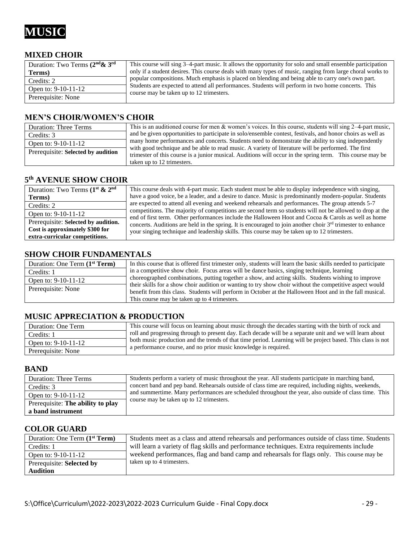

#### **MIXED CHOIR**

| Duration: Two Terms $(2nd \& 3rd$ | This course will sing 3–4-part music. It allows the opportunity for solo and small ensemble participation                                      |
|-----------------------------------|------------------------------------------------------------------------------------------------------------------------------------------------|
| Terms)                            | only if a student desires. This course deals with many types of music, ranging from large choral works to                                      |
| Credits: 2                        | popular compositions. Much emphasis is placed on blending and being able to carry one's own part.                                              |
| Open to: $9-10-11-12$             | Students are expected to attend all performances. Students will perform in two home concerts. This<br>course may be taken up to 12 trimesters. |
| Prerequisite: None                |                                                                                                                                                |

#### **MEN'S CHOIR/WOMEN'S CHOIR**

| <b>Duration: Three Terms</b>       | This is an auditioned course for men & women's voices. In this course, students will sing $2-4$ -part music, |
|------------------------------------|--------------------------------------------------------------------------------------------------------------|
| Credits: 3                         | and be given opportunities to participate in solo/ensemble contest, festivals, and honor choirs as well as   |
| Open to: 9-10-11-12                | many home performances and concerts. Students need to demonstrate the ability to sing independently          |
| Prerequisite: Selected by audition | with good technique and be able to read music. A variety of literature will be performed. The first          |
|                                    | trimester of this course is a junior musical. Auditions will occur in the spring term. This course may be    |
|                                    | taken up to 12 trimesters.                                                                                   |

#### **5 th AVENUE SHOW CHOIR**

| Duration: Two Terms $(1^{\text{st}} \& 2^{\text{nd}})$ | This course deals with 4-part music. Each student must be able to display independence with singing,          |
|--------------------------------------------------------|---------------------------------------------------------------------------------------------------------------|
|                                                        |                                                                                                               |
| Terms)                                                 | have a good voice, be a leader, and a desire to dance. Music is predominantly modern-popular. Students        |
| Credits: 2                                             | are expected to attend all evening and weekend rehearsals and performances. The group attends 5-7             |
| Open to: $9-10-11-12$                                  | competitions. The majority of competitions are second term so students will not be allowed to drop at the     |
|                                                        | end of first term. Other performances include the Halloween Hoot and Cocoa & Carols as well as home           |
| Prerequisite: Selected by audition.                    | concerts. Auditions are held in the spring. It is encouraged to join another choir $3rd$ trimester to enhance |
| Cost is approximately \$300 for                        |                                                                                                               |
|                                                        | your singing technique and leadership skills. This course may be taken up to 12 trimesters.                   |
| extra-curricular competitions.                         |                                                                                                               |

#### **SHOW CHOIR FUNDAMENTALS**

| Duration: One Term (1 <sup>st</sup> Term) | In this course that is offered first trimester only, students will learn the basic skills needed to participate |
|-------------------------------------------|-----------------------------------------------------------------------------------------------------------------|
| Credits: 1                                | in a competitive show choir. Focus areas will be dance basics, singing technique, learning                      |
| Open to: $9-10-11-12$                     | choreographed combinations, putting together a show, and acting skills. Students wishing to improve             |
| Prerequisite: None                        | their skills for a show choir audition or wanting to try show choir without the competitive aspect would        |
|                                           | benefit from this class. Students will perform in October at the Halloween Hoot and in the fall musical.        |
|                                           | This course may be taken up to 4 trimesters.                                                                    |

#### **MUSIC APPRECIATION & PRODUCTION**

| Duration: One Term    | This course will focus on learning about music through the decades starting with the birth of rock and      |
|-----------------------|-------------------------------------------------------------------------------------------------------------|
| Credits: 1            | roll and progressing through to present day. Each decade will be a separate unit and we will learn about    |
| Open to: $9-10-11-12$ | both music production and the trends of that time period. Learning will be project based. This class is not |
| Prerequisite: None    | a performance course, and no prior music knowledge is required.                                             |

#### **BAND**

| <b>Duration: Three Terms</b>      | Students perform a variety of music throughout the year. All students participate in marching band,   |
|-----------------------------------|-------------------------------------------------------------------------------------------------------|
| Credits: 3                        | concert band and pep band. Rehearsals outside of class time are required, including nights, weekends, |
| Open to: $9-10-11-12$             | and summertime. Many performances are scheduled throughout the year, also outside of class time. This |
| Prerequisite: The ability to play | course may be taken up to 12 trimesters.                                                              |
| a band instrument                 |                                                                                                       |

#### **COLOR GUARD**

| Duration: One Term (1 <sup>st</sup> Term) | Students meet as a class and attend rehearsals and performances outside of class time. Students |
|-------------------------------------------|-------------------------------------------------------------------------------------------------|
| Credits: 1                                | will learn a variety of flag skills and performance techniques. Extra requirements include      |
| Open to: 9-10-11-12                       | weekend performances, flag and band camp and rehearsals for flags only. This course may be      |
| Prerequisite: Selected by                 | taken up to 4 trimesters.                                                                       |
| <b>Audition</b>                           |                                                                                                 |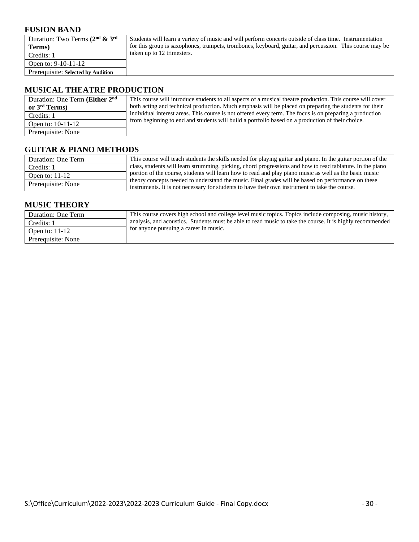#### **FUSION BAND**

| Duration: Two Terms $(2nd \& 3rd$  | Students will learn a variety of music and will perform concerts outside of class time. Instrumentation |
|------------------------------------|---------------------------------------------------------------------------------------------------------|
| Terms)                             | for this group is saxophones, trumpets, trombones, keyboard, guitar, and percussion. This course may be |
| Credits: 1                         | taken up to 12 trimesters.                                                                              |
| Open to: $9-10-11-12$              |                                                                                                         |
| Prerequisite: Selected by Audition |                                                                                                         |
|                                    |                                                                                                         |

#### **MUSICAL THEATRE PRODUCTION**

| Duration: One Term (Either 2 <sup>nd</sup> )<br>or $3rd$ Terms) | This course will introduce students to all aspects of a musical theatre production. This course will cover<br>both acting and technical production. Much emphasis will be placed on preparing the students for their |
|-----------------------------------------------------------------|----------------------------------------------------------------------------------------------------------------------------------------------------------------------------------------------------------------------|
| Credits: 1                                                      | individual interest areas. This course is not offered every term. The focus is on preparing a production                                                                                                             |
| Open to: $10-11-12$                                             | from beginning to end and students will build a portfolio based on a production of their choice.                                                                                                                     |
| Prerequisite: None                                              |                                                                                                                                                                                                                      |

#### **GUITAR & PIANO METHODS**

| Duration: One Term | This course will teach students the skills needed for playing guitar and piano. In the guitar portion of the                                                                                         |
|--------------------|------------------------------------------------------------------------------------------------------------------------------------------------------------------------------------------------------|
| Credits: 1         | class, students will learn strumming, picking, chord progressions and how to read tablature. In the piano                                                                                            |
| Open to: $11-12$   | portion of the course, students will learn how to read and play piano music as well as the basic music                                                                                               |
| Prerequisite: None | theory concepts needed to understand the music. Final grades will be based on performance on these<br>instruments. It is not necessary for students to have their own instrument to take the course. |

#### **MUSIC THEORY**

| Duration: One Term | This course covers high school and college level music topics. Topics include composing, music history,   |
|--------------------|-----------------------------------------------------------------------------------------------------------|
| Credits: 1         | analysis, and acoustics. Students must be able to read music to take the course. It is highly recommended |
| Open to: $11-12$   | tor anyone pursuing a career in music.                                                                    |
| Prerequisite: None |                                                                                                           |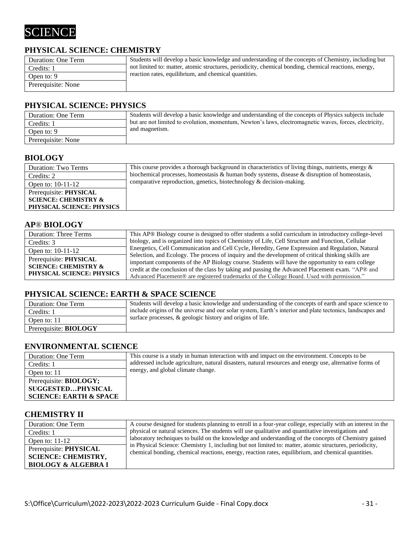

#### **PHYSICAL SCIENCE: CHEMISTRY**

| Duration: One Term | Students will develop a basic knowledge and understanding of the concepts of Chemistry, including but |
|--------------------|-------------------------------------------------------------------------------------------------------|
| Credits: 1         | not limited to: matter, atomic structures, periodicity, chemical bonding, chemical reactions, energy, |
| Open to: 9         | reaction rates, equilibrium, and chemical quantities.                                                 |
| Prerequisite: None |                                                                                                       |

#### **PHYSICAL SCIENCE: PHYSICS**

| Duration: One Term | Students will develop a basic knowledge and understanding of the concepts of Physics subjects include  |
|--------------------|--------------------------------------------------------------------------------------------------------|
| Credits: 1         | but are not limited to evolution, momentum, Newton's laws, electromagnetic waves, forces, electricity, |
| Open to: 9         | and magnetism.                                                                                         |
| Prerequisite: None |                                                                                                        |

#### **BIOLOGY**

| Duration: Two Terms              | This course provides a thorough background in characteristics of living things, nutrients, energy $\&$ |
|----------------------------------|--------------------------------------------------------------------------------------------------------|
| Credits: 2                       | biochemical processes, homeostasis & human body systems, disease & disruption of homeostasis,          |
| Open to: 10-11-12                | comparative reproduction, genetics, biotechnology & decision-making.                                   |
| Prerequisite: PHYSICAL           |                                                                                                        |
| <b>SCIENCE: CHEMISTRY &amp;</b>  |                                                                                                        |
| <b>PHYSICAL SCIENCE: PHYSICS</b> |                                                                                                        |

#### **AP**® **BIOLOGY**

| <b>Duration: Three Terms</b>    | This AP® Biology course is designed to offer students a solid curriculum in introductory college-level                                                                                                  |
|---------------------------------|---------------------------------------------------------------------------------------------------------------------------------------------------------------------------------------------------------|
| Credits: 3                      | biology, and is organized into topics of Chemistry of Life, Cell Structure and Function, Cellular                                                                                                       |
| Open to: 10-11-12               | Energetics, Cell Communication and Cell Cycle, Heredity, Gene Expression and Regulation, Natural                                                                                                        |
| Prerequisite: PHYSICAL          | Selection, and Ecology. The process of inquiry and the development of critical thinking skills are<br>important components of the AP Biology course. Students will have the opportunity to earn college |
| <b>SCIENCE: CHEMISTRY &amp;</b> | credit at the conclusion of the class by taking and passing the Advanced Placement exam. "AP® and                                                                                                       |
| PHYSICAL SCIENCE: PHYSICS       | Advanced Placement® are registered trademarks of the College Board. Used with permission."                                                                                                              |

#### **PHYSICAL SCIENCE: EARTH & SPACE SCIENCE**

| Duration: One Term           | Students will develop a basic knowledge and understanding of the concepts of earth and space science to    |
|------------------------------|------------------------------------------------------------------------------------------------------------|
| Credits: 1                   | include origins of the universe and our solar system, Earth's interior and plate tectonics, landscapes and |
| Open to: 11                  | surface processes, & geologic history and origins of life.                                                 |
| Prerequisite: <b>BIOLOGY</b> |                                                                                                            |

#### **ENVIRONMENTAL SCIENCE**

| Duration: One Term                | This course is a study in human interaction with and impact on the environment. Concepts to be           |
|-----------------------------------|----------------------------------------------------------------------------------------------------------|
| Credits: 1                        | addressed include agriculture, natural disasters, natural resources and energy use, alternative forms of |
| Open to: 11                       | energy, and global climate change.                                                                       |
| Prerequisite: <b>BIOLOGY</b> ;    |                                                                                                          |
| <b>SUGGESTEDPHYSICAL</b>          |                                                                                                          |
| <b>SCIENCE: EARTH &amp; SPACE</b> |                                                                                                          |

#### **CHEMISTRY II**

| Duration: One Term                                                                     | A course designed for students planning to enroll in a four-year college, especially with an interest in the                                                                                                   |
|----------------------------------------------------------------------------------------|----------------------------------------------------------------------------------------------------------------------------------------------------------------------------------------------------------------|
| Credits: 1                                                                             | physical or natural sciences. The students will use qualitative and quantitative investigations and                                                                                                            |
| Open to: $11-12$                                                                       | laboratory techniques to build on the knowledge and understanding of the concepts of Chemistry gained                                                                                                          |
| Prerequisite: PHYSICAL<br><b>SCIENCE: CHEMISTRY,</b><br><b>BIOLOGY &amp; ALGEBRA I</b> | in Physical Science: Chemistry 1, including but not limited to: matter, atomic structures, periodicity,<br>chemical bonding, chemical reactions, energy, reaction rates, equilibrium, and chemical quantities. |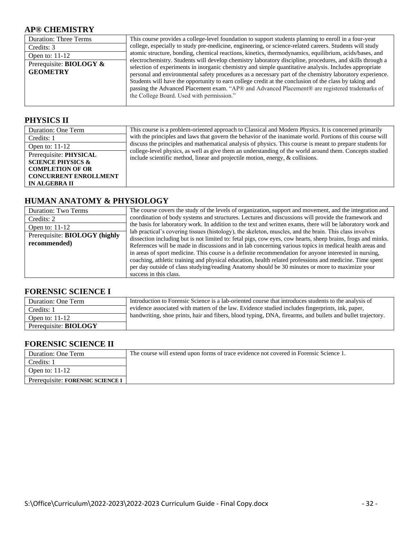#### **AP® CHEMISTRY**

| <b>Duration: Three Terms</b>                      | This course provides a college-level foundation to support students planning to enroll in a four-year                                                                                                                                                                                                                                                                                                                                                                                                                                                                                    |
|---------------------------------------------------|------------------------------------------------------------------------------------------------------------------------------------------------------------------------------------------------------------------------------------------------------------------------------------------------------------------------------------------------------------------------------------------------------------------------------------------------------------------------------------------------------------------------------------------------------------------------------------------|
| Credits: 3                                        | college, especially to study pre-medicine, engineering, or science-related careers. Students will study                                                                                                                                                                                                                                                                                                                                                                                                                                                                                  |
| Open to: $11-12$                                  | atomic structure, bonding, chemical reactions, kinetics, thermodynamics, equilibrium, acids/bases, and                                                                                                                                                                                                                                                                                                                                                                                                                                                                                   |
| Prerequisite: <b>BIOLOGY</b> &<br><b>GEOMETRY</b> | electrochemistry. Students will develop chemistry laboratory discipline, procedures, and skills through a<br>selection of experiments in inorganic chemistry and simple quantitative analysis. Includes appropriate<br>personal and environmental safety procedures as a necessary part of the chemistry laboratory experience.<br>Students will have the opportunity to earn college credit at the conclusion of the class by taking and<br>passing the Advanced Placement exam. "AP® and Advanced Placement® are registered trademarks of<br>the College Board. Used with permission." |

#### **PHYSICS II**

| Duration: One Term                                                                                                                        | This course is a problem-oriented approach to Classical and Modern Physics. It is concerned primarily                                                                                        |
|-------------------------------------------------------------------------------------------------------------------------------------------|----------------------------------------------------------------------------------------------------------------------------------------------------------------------------------------------|
| Credits: 1                                                                                                                                | with the principles and laws that govern the behavior of the inanimate world. Portions of this course will                                                                                   |
| Open to: $11-12$                                                                                                                          | discuss the principles and mathematical analysis of physics. This course is meant to prepare students for                                                                                    |
| Prerequisite: PHYSICAL<br><b>SCIENCE PHYSICS &amp;</b><br><b>COMPLETION OF OR</b><br><b>CONCURRENT ENROLLMENT</b><br><b>IN ALGEBRA II</b> | college-level physics, as well as give them an understanding of the world around them. Concepts studied<br>include scientific method, linear and projectile motion, energy, $\&$ collisions. |

#### **HUMAN ANATOMY & PHYSIOLOGY**

| <b>Duration: Two Terms</b><br>Credits: 2<br>Open to: $11-12$<br>Prerequisite: BIOLOGY (highly<br>recommended) | The course covers the study of the levels of organization, support and movement, and the integration and<br>coordination of body systems and structures. Lectures and discussions will provide the framework and<br>the basis for laboratory work. In addition to the text and written exams, there will be laboratory work and<br>lab practical's covering tissues (histology), the skeleton, muscles, and the brain. This class involves<br>dissection including but is not limited to: fetal pigs, cow eyes, cow hearts, sheep brains, frogs and minks.<br>References will be made in discussions and in lab concerning various topics in medical health areas and<br>in areas of sport medicine. This course is a definite recommendation for anyone interested in nursing,<br>coaching, athletic training and physical education, health related professions and medicine. Time spent<br>per day outside of class studying/reading Anatomy should be 30 minutes or more to maximize your<br>success in this class. |
|---------------------------------------------------------------------------------------------------------------|-------------------------------------------------------------------------------------------------------------------------------------------------------------------------------------------------------------------------------------------------------------------------------------------------------------------------------------------------------------------------------------------------------------------------------------------------------------------------------------------------------------------------------------------------------------------------------------------------------------------------------------------------------------------------------------------------------------------------------------------------------------------------------------------------------------------------------------------------------------------------------------------------------------------------------------------------------------------------------------------------------------------------|
|---------------------------------------------------------------------------------------------------------------|-------------------------------------------------------------------------------------------------------------------------------------------------------------------------------------------------------------------------------------------------------------------------------------------------------------------------------------------------------------------------------------------------------------------------------------------------------------------------------------------------------------------------------------------------------------------------------------------------------------------------------------------------------------------------------------------------------------------------------------------------------------------------------------------------------------------------------------------------------------------------------------------------------------------------------------------------------------------------------------------------------------------------|

#### **FORENSIC SCIENCE I**

| Duration: One Term           | Introduction to Forensic Science is a lab-oriented course that introduces students to the analysis of      |
|------------------------------|------------------------------------------------------------------------------------------------------------|
| Credits: 1                   | evidence associated with matters of the law. Evidence studied includes fingerprints, ink, paper,           |
| Open to: $11-12$             | handwriting, shoe prints, hair and fibers, blood typing, DNA, firearms, and bullets and bullet trajectory. |
| Prerequisite: <b>BIOLOGY</b> |                                                                                                            |

#### **FORENSIC SCIENCE II**

| Duration: One Term               | The course will extend upon forms of trace evidence not covered in Forensic Science 1. |
|----------------------------------|----------------------------------------------------------------------------------------|
| Credits: 1                       |                                                                                        |
| Open to: $11-12$                 |                                                                                        |
| Prerequisite: FORENSIC SCIENCE I |                                                                                        |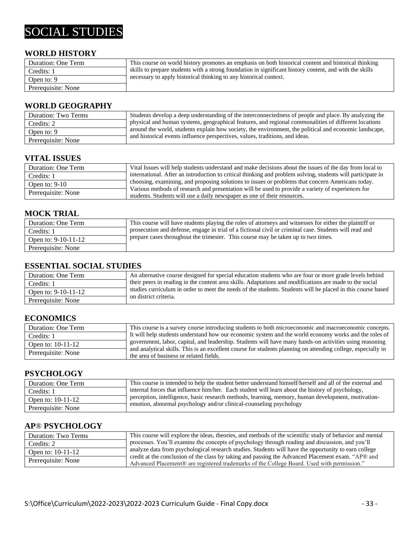## SOCIAL STUDIES

#### **WORLD HISTORY**

| Duration: One Term | This course on world history promotes an emphasis on both historical content and historical thinking    |
|--------------------|---------------------------------------------------------------------------------------------------------|
| Credits: 1         | skills to prepare students with a strong foundation in significant history content, and with the skills |
| Open to: 9         | necessary to apply historical thinking to any historical context.                                       |
| Prerequisite: None |                                                                                                         |

#### **WORLD GEOGRAPHY**

| Duration: Two Terms | Students develop a deep understanding of the interconnectedness of people and place. By analyzing the                                                                                  |
|---------------------|----------------------------------------------------------------------------------------------------------------------------------------------------------------------------------------|
| Credits: 2          | physical and human systems, geographical features, and regional commonalities of different locations                                                                                   |
| Open to: 9          | around the world, students explain how society, the environment, the political and economic landscape,<br>and historical events influence perspectives, values, traditions, and ideas. |
| Prerequisite: None  |                                                                                                                                                                                        |

#### **VITAL ISSUES**

| Duration: One Term | Vital Issues will help students understand and make decisions about the issues of the day from local to     |
|--------------------|-------------------------------------------------------------------------------------------------------------|
| Credits: 1         | international. After an introduction to critical thinking and problem solving, students will participate in |
| Open to: $9-10$    | choosing, examining, and proposing solutions to issues or problems that concern Americans today.            |
| Prerequisite: None | Various methods of research and presentation will be used to provide a variety of experiences for           |
|                    | students. Students will use a daily newspaper as one of their resources.                                    |

#### **MOCK TRIAL**

| Duration: One Term  | This course will have students playing the roles of attorneys and witnesses for either the plaintiff or |
|---------------------|---------------------------------------------------------------------------------------------------------|
| Credits: 1          | prosecution and defense, engage in trial of a fictional civil or criminal case. Students will read and  |
| Open to: 9-10-11-12 | prepare cases throughout the trimester. This course may be taken up to two times.                       |
| Prerequisite: None  |                                                                                                         |

#### **ESSENTIAL SOCIAL STUDIES**

| Duration: One Term    | An alternative course designed for special education students who are four or more grade levels behind      |
|-----------------------|-------------------------------------------------------------------------------------------------------------|
| Credits: 1            | their peers in reading in the content area skills. Adaptations and modifications are made to the social     |
| Open to: $9-10-11-12$ | studies curriculum in order to meet the needs of the students. Students will be placed in this course based |
| Prerequisite: None    | on district criteria.                                                                                       |

#### **ECONOMICS**

| Duration: One Term | This course is a survey course introducing students to both microeconomic and macroeconomic concepts.                                                   |
|--------------------|---------------------------------------------------------------------------------------------------------------------------------------------------------|
| Credits: 1         | It will help students understand how our economic system and the world economy works and the roles of                                                   |
| Open to: 10-11-12  | government, labor, capital, and leadership. Students will have many hands-on activities using reasoning                                                 |
| Prerequisite: None | and analytical skills. This is an excellent course for students planning on attending college, especially in<br>the area of business or related fields. |

#### **PSYCHOLOGY**

| Duration: One Term  | This course is intended to help the student better understand himself/herself and all of the external and |
|---------------------|-----------------------------------------------------------------------------------------------------------|
| Credits: 1          | internal forces that influence him/her. Each student will learn about the history of psychology,          |
| Open to: $10-11-12$ | perception, intelligence, basic research methods, learning, memory, human development, motivation-        |
| Prerequisite: None  | emotion, abnormal psychology and/or clinical-counseling psychology                                        |

#### **AP**® **PSYCHOLOGY**

| Duration: Two Terms | This course will explore the ideas, theories, and methods of the scientific study of behavior and mental |
|---------------------|----------------------------------------------------------------------------------------------------------|
| Credits: 2          | processes. You'll examine the concepts of psychology through reading and discussion, and you'll          |
| Open to: $10-11-12$ | analyze data from psychological research studies. Students will have the opportunity to earn college     |
|                     | credit at the conclusion of the class by taking and passing the Advanced Placement exam. "AP® and        |
| Prerequisite: None  | Advanced Placement® are registered trademarks of the College Board. Used with permission."               |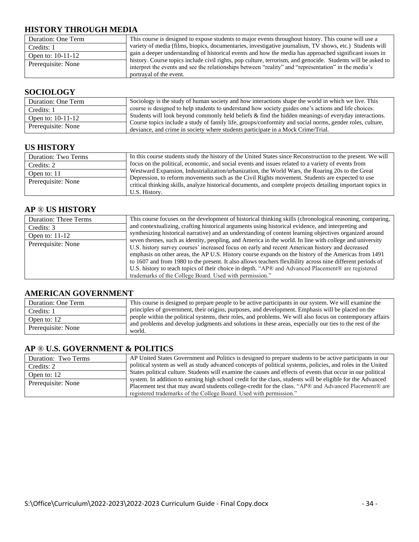#### **HISTORY THROUGH MEDIA**

| Duration: One Term | This course is designed to expose students to major events throughout history. This course will use a                                                                                                                                           |
|--------------------|-------------------------------------------------------------------------------------------------------------------------------------------------------------------------------------------------------------------------------------------------|
| Credits: 1         | variety of media (films, biopics, documentaries, investigative journalism, TV shows, etc.) Students will                                                                                                                                        |
| Open to: 10-11-12  | gain a deeper understanding of historical events and how the media has approached significant issues in                                                                                                                                         |
| Prerequisite: None | history. Course topics include civil rights, pop culture, terrorism, and genocide. Students will be asked to<br>interpret the events and see the relationships between "reality" and "representation" in the media's<br>portrayal of the event. |

#### **SOCIOLOGY**

| Duration: One Term | Sociology is the study of human society and how interactions shape the world in which we live. This                                                                                          |
|--------------------|----------------------------------------------------------------------------------------------------------------------------------------------------------------------------------------------|
| Credits: 1         | course is designed to help students to understand how society guides one's actions and life choices.                                                                                         |
| Open to: 10-11-12  | Students will look beyond commonly held beliefs & find the hidden meanings of everyday interactions.                                                                                         |
| Prerequisite: None | Course topics include a study of family life, groups/conformity and social norms, gender roles, culture,<br>deviance, and crime in society where students participate in a Mock Crime/Trial. |

#### **US HISTORY**

| Duration: Two Terms | In this course students study the history of the United States since Reconstruction to the present. We will                                                                                                    |
|---------------------|----------------------------------------------------------------------------------------------------------------------------------------------------------------------------------------------------------------|
| Credits: 2          | focus on the political, economic, and social events and issues related to a variety of events from                                                                                                             |
| Open to: 11         | Westward Expansion, Industrialization/urbanization, the World Wars, the Roaring 20s to the Great                                                                                                               |
| Prerequisite: None  | Depression, to reform movements such as the Civil Rights movement. Students are expected to use<br>critical thinking skills, analyze historical documents, and complete projects detailing important topics in |
|                     | U.S. History.                                                                                                                                                                                                  |

#### **AP** ® **US HISTORY**

| <b>Duration: Three Terms</b> | This course focuses on the development of historical thinking skills (chronological reasoning, comparing,                                                                                                                                                                                                                                                                                                                                                                                                                                                                                         |
|------------------------------|---------------------------------------------------------------------------------------------------------------------------------------------------------------------------------------------------------------------------------------------------------------------------------------------------------------------------------------------------------------------------------------------------------------------------------------------------------------------------------------------------------------------------------------------------------------------------------------------------|
| Credits: 3                   | and contextualizing, crafting historical arguments using historical evidence, and interpreting and                                                                                                                                                                                                                                                                                                                                                                                                                                                                                                |
| Open to: $11-12$             | synthesizing historical narrative) and an understanding of content learning objectives organized around                                                                                                                                                                                                                                                                                                                                                                                                                                                                                           |
| Prerequisite: None           | seven themes, such as identity, peopling, and America in the world. In line with college and university<br>U.S. history survey courses' increased focus on early and recent American history and decreased<br>emphasis on other areas, the AP U.S. History course expands on the history of the Americas from 1491<br>to 1607 and from 1980 to the present. It also allows teachers flexibility across nine different periods of<br>U.S. history to teach topics of their choice in depth. "AP® and Advanced Placement® are registered<br>trademarks of the College Board. Used with permission." |

#### **AMERICAN GOVERNMENT**

| Duration: One Term | This course is designed to prepare people to be active participants in our system. We will examine the            |
|--------------------|-------------------------------------------------------------------------------------------------------------------|
| Credits: 1         | principles of government, their origins, purposes, and development. Emphasis will be placed on the                |
| Open to: 12        | people within the political systems, their roles, and problems. We will also focus on contemporary affairs        |
| Prerequisite: None | and problems and develop judgments and solutions in these areas, especially our ties to the rest of the<br>world. |

#### **AP** ® **U.S. GOVERNMENT & POLITICS**

| Duration: Two Terms | AP United States Government and Politics is designed to prepare students to be active participants in our    |
|---------------------|--------------------------------------------------------------------------------------------------------------|
| Credits: 2          | political system as well as study advanced concepts of political systems, policies, and roles in the United  |
| Open to: 12         | States political culture. Students will examine the causes and effects of events that occur in our political |
|                     | system. In addition to earning high school credit for the class, students will be eligible for the Advanced  |
| Prerequisite: None  | Placement test that may award students college-credit for the class. "AP® and Advanced Placement® are        |
|                     | registered trademarks of the College Board. Used with permission."                                           |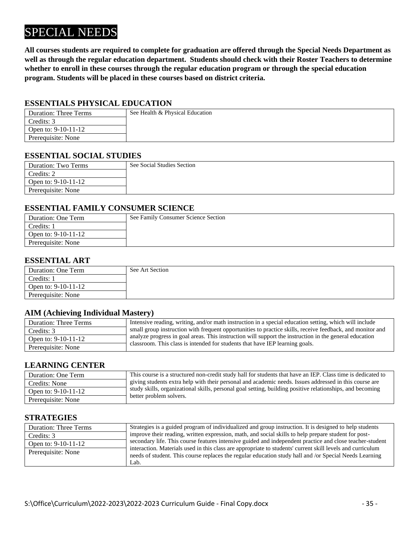## SPECIAL NEEDS

**All courses students are required to complete for graduation are offered through the Special Needs Department as well as through the regular education department. Students should check with their Roster Teachers to determine whether to enroll in these courses through the regular education program or through the special education program. Students will be placed in these courses based on district criteria.**

#### **ESSENTIALS PHYSICAL EDUCATION**

| <b>Duration: Three Terms</b> | See Health & Physical Education |
|------------------------------|---------------------------------|
| Credits: 3                   |                                 |
| Open to: 9-10-11-12          |                                 |
| Prerequisite: None           |                                 |

#### **ESSENTIAL SOCIAL STUDIES**

| Duration: Two Terms   | See Social Studies Section |
|-----------------------|----------------------------|
| Credits: 2            |                            |
| Open to: $9-10-11-12$ |                            |
| Prerequisite: None    |                            |

#### **ESSENTIAL FAMILY CONSUMER SCIENCE**

| Duration: One Term  | See Family Consumer Science Section |
|---------------------|-------------------------------------|
| Credits: 1          |                                     |
| Open to: 9-10-11-12 |                                     |
| Prerequisite: None  |                                     |

#### **ESSENTIAL ART**

| Duration: One Term    | See Art Section |
|-----------------------|-----------------|
| Credits: 1            |                 |
| Open to: $9-10-11-12$ |                 |
| Prerequisite: None    |                 |

#### **AIM (Achieving Individual Mastery)**

| <b>Duration: Three Terms</b> | Intensive reading, writing, and/or math instruction in a special education setting, which will include    |
|------------------------------|-----------------------------------------------------------------------------------------------------------|
| Credits: 3                   | small group instruction with frequent opportunities to practice skills, receive feedback, and monitor and |
| Open to: 9-10-11-12          | analyze progress in goal areas. This instruction will support the instruction in the general education    |
| Prerequisite: None           | classroom. This class is intended for students that have IEP learning goals.                              |

#### **LEARNING CENTER**

| Duration: One Term  | This course is a structured non-credit study hall for students that have an IEP. Class time is dedicated to |
|---------------------|-------------------------------------------------------------------------------------------------------------|
| Credits: None       | giving students extra help with their personal and academic needs. Issues addressed in this course are      |
| Open to: 9-10-11-12 | study skills, organizational skills, personal goal setting, building positive relationships, and becoming   |
| Prerequisite: None  | better problem solvers.                                                                                     |

#### **STRATEGIES**

| <b>Duration: Three Terms</b> | Strategies is a guided program of individualized and group instruction. It is designed to help students                                                                                                                      |
|------------------------------|------------------------------------------------------------------------------------------------------------------------------------------------------------------------------------------------------------------------------|
| Credits: 3                   | improve their reading, written expression, math, and social skills to help prepare student for post-                                                                                                                         |
| Open to: 9-10-11-12          | secondary life. This course features intensive guided and independent practice and close teacher-student                                                                                                                     |
| Prerequisite: None           | interaction. Materials used in this class are appropriate to students' current skill levels and curriculum<br>needs of student. This course replaces the regular education study hall and /or Special Needs Learning<br>Lab. |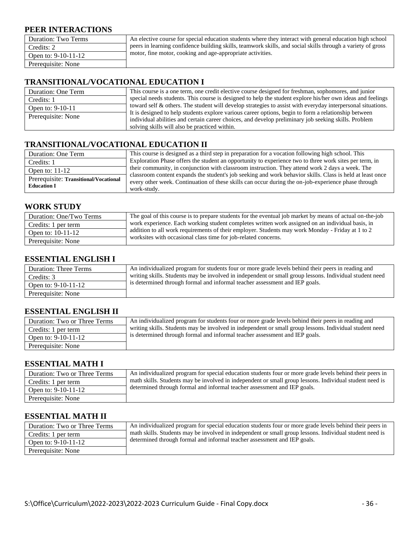#### **PEER INTERACTIONS**

| Duration: Two Terms   | An elective course for special education students where they interact with general education high school    |
|-----------------------|-------------------------------------------------------------------------------------------------------------|
| Credits: 2            | peers in learning confidence building skills, teamwork skills, and social skills through a variety of gross |
| Open to: $9-10-11-12$ | motor, fine motor, cooking and age-appropriate activities.                                                  |
| Prerequisite: None    |                                                                                                             |
|                       |                                                                                                             |

#### **TRANSITIONAL/VOCATIONAL EDUCATION I**

| Duration: One Term | This course is a one term, one credit elective course designed for freshman, sophomores, and junior                                                                                                                                                           |
|--------------------|---------------------------------------------------------------------------------------------------------------------------------------------------------------------------------------------------------------------------------------------------------------|
| Credits: 1         | special needs students. This course is designed to help the student explore his/her own ideas and feelings                                                                                                                                                    |
| Open to: 9-10-11   | toward self & others. The student will develop strategies to assist with everyday interpersonal situations.                                                                                                                                                   |
| Prerequisite: None | It is designed to help students explore various career options, begin to form a relationship between<br>individual abilities and certain career choices, and develop preliminary job seeking skills. Problem<br>solving skills will also be practiced within. |

#### **TRANSITIONAL/VOCATIONAL EDUCATION II**

| Duration: One Term                    | This course is designed as a third step in preparation for a vocation following high school. This                                                                                                            |
|---------------------------------------|--------------------------------------------------------------------------------------------------------------------------------------------------------------------------------------------------------------|
| Credits: 1                            | Exploration Phase offers the student an opportunity to experience two to three work sites per term, in                                                                                                       |
| Open to: $11-12$                      | their community, in conjunction with classroom instruction. They attend work 2 days a week. The<br>classroom content expands the student's job seeking and work behavior skills. Class is held at least once |
| Prerequisite: Transitional/Vocational | every other week. Continuation of these skills can occur during the on-job-experience phase through                                                                                                          |
| <b>Education I</b>                    | work-study.                                                                                                                                                                                                  |

#### **WORK STUDY**

| Duration: One/Two Terms | The goal of this course is to prepare students for the eventual job market by means of actual on-the-job                                                           |
|-------------------------|--------------------------------------------------------------------------------------------------------------------------------------------------------------------|
| Credits: 1 per term     | work experience. Each working student completes written work assigned on an individual basis, in                                                                   |
| Open to: 10-11-12       | addition to all work requirements of their employer. Students may work Monday - Friday at 1 to 2<br>worksites with occasional class time for job-related concerns. |
| Prerequisite: None      |                                                                                                                                                                    |

#### **ESSENTIAL ENGLISH I**

| <b>Duration: Three Terms</b> | An individualized program for students four or more grade levels behind their peers in reading and      |
|------------------------------|---------------------------------------------------------------------------------------------------------|
| Credits: 3                   | writing skills. Students may be involved in independent or small group lessons. Individual student need |
| Open to: $9-10-11-12$        | is determined through formal and informal teacher assessment and IEP goals.                             |
| Prerequisite: None           |                                                                                                         |

#### **ESSENTIAL ENGLISH II**

| Duration: Two or Three Terms | An individualized program for students four or more grade levels behind their peers in reading and      |
|------------------------------|---------------------------------------------------------------------------------------------------------|
| Credits: 1 per term          | writing skills. Students may be involved in independent or small group lessons. Individual student need |
| Open to: $9-10-11-12$        | is determined through formal and informal teacher assessment and IEP goals.                             |
| Prerequisite: None           |                                                                                                         |

#### **ESSENTIAL MATH I**

| Duration: Two or Three Terms | An individualized program for special education students four or more grade levels behind their peers in |
|------------------------------|----------------------------------------------------------------------------------------------------------|
| Credits: 1 per term          | math skills. Students may be involved in independent or small group lessons. Individual student need is  |
| Open to: 9-10-11-12          | determined through formal and informal teacher assessment and IEP goals.                                 |
| Prerequisite: None           |                                                                                                          |

#### **ESSENTIAL MATH II**

| Duration: Two or Three Terms | An individualized program for special education students four or more grade levels behind their peers in |
|------------------------------|----------------------------------------------------------------------------------------------------------|
| Credits: 1 per term          | math skills. Students may be involved in independent or small group lessons. Individual student need is  |
| Open to: 9-10-11-12          | determined through formal and informal teacher assessment and IEP goals.                                 |
| Prerequisite: None           |                                                                                                          |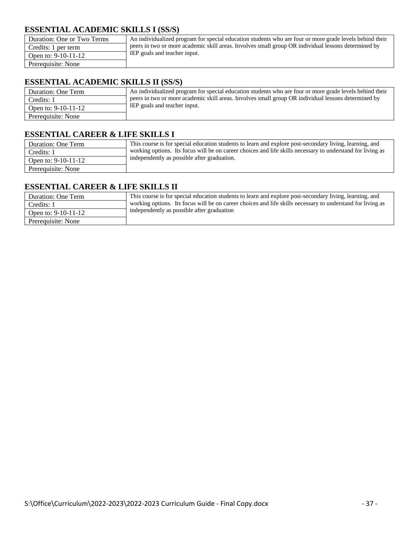#### **ESSENTIAL ACADEMIC SKILLS I (SS/S)**

| Duration: One or Two Terms | An individualized program for special education students who are four or more grade levels behind their |
|----------------------------|---------------------------------------------------------------------------------------------------------|
| Credits: 1 per term        | peers in two or more academic skill areas. Involves small group OR individual lessons determined by     |
| Open to: $9-10-11-12$      | IEP goals and teacher input.                                                                            |
| Prerequisite: None         |                                                                                                         |

#### **ESSENTIAL ACADEMIC SKILLS II (SS/S)**

| Duration: One Term    | An individualized program for special education students who are four or more grade levels behind their |
|-----------------------|---------------------------------------------------------------------------------------------------------|
| Credits: 1            | peers in two or more academic skill areas. Involves small group OR individual lessons determined by     |
| Open to: $9-10-11-12$ | IEP goals and teacher input.                                                                            |
| Prerequisite: None    |                                                                                                         |

#### **ESSENTIAL CAREER & LIFE SKILLS I**

| Duration: One Term    | This course is for special education students to learn and explore post-secondary living, learning, and    |
|-----------------------|------------------------------------------------------------------------------------------------------------|
| Credits: 1            | working options. Its focus will be on career choices and life skills necessary to understand for living as |
| Open to: $9-10-11-12$ | independently as possible after graduation.                                                                |
| Prerequisite: None    |                                                                                                            |

#### **ESSENTIAL CAREER & LIFE SKILLS II**

| Duration: One Term    | This course is for special education students to learn and explore post-secondary living, learning, and    |
|-----------------------|------------------------------------------------------------------------------------------------------------|
| Credits: 1            | working options. Its focus will be on career choices and life skills necessary to understand for living as |
| Open to: $9-10-11-12$ | independently as possible after graduation                                                                 |
| Prerequisite: None    |                                                                                                            |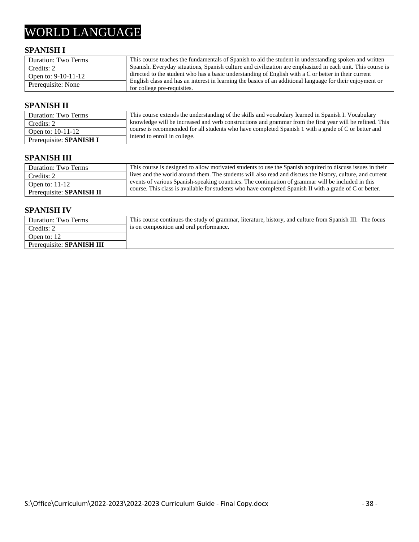## WORLD LANGUAGE

#### **SPANISH I**

| Duration: Two Terms | This course teaches the fundamentals of Spanish to aid the student in understanding spoken and written                                   |
|---------------------|------------------------------------------------------------------------------------------------------------------------------------------|
| Credits: 2          | Spanish. Everyday situations, Spanish culture and civilization are emphasized in each unit. This course is                               |
| Open to: 9-10-11-12 | directed to the student who has a basic understanding of English with a C or better in their current                                     |
| Prerequisite: None  | English class and has an interest in learning the basics of an additional language for their enjoyment or<br>for college pre-requisites. |

#### **SPANISH II**

| <b>Duration: Two Terms</b>     | This course extends the understanding of the skills and vocabulary learned in Spanish I. Vocabulary      |
|--------------------------------|----------------------------------------------------------------------------------------------------------|
| Credits: 2                     | knowledge will be increased and verb constructions and grammar from the first year will be refined. This |
| Open to: 10-11-12              | course is recommended for all students who have completed Spanish 1 with a grade of C or better and      |
| Prerequisite: <b>SPANISH I</b> | intend to enroll in college.                                                                             |

#### **SPANISH III**

| Duration: Two Terms             | This course is designed to allow motivated students to use the Spanish acquired to discuss issues in their |
|---------------------------------|------------------------------------------------------------------------------------------------------------|
| Credits: 2                      | lives and the world around them. The students will also read and discuss the history, culture, and current |
| Open to: $11-12$                | events of various Spanish-speaking countries. The continuation of grammar will be included in this         |
| Prerequisite: <b>SPANISH II</b> | course. This class is available for students who have completed Spanish II with a grade of C or better.    |

#### **SPANISH IV**

| Duration: Two Terms              | This course continues the study of grammar, literature, history, and culture from Spanish III. The focus |
|----------------------------------|----------------------------------------------------------------------------------------------------------|
| Credits: 2                       | is on composition and oral performance.                                                                  |
| Open to: 12                      |                                                                                                          |
| Prerequisite: <b>SPANISH III</b> |                                                                                                          |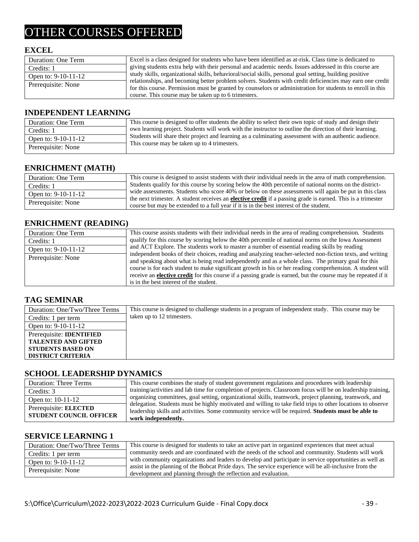## OTHER COURSES OFFERED

#### **EXCEL**

| Duration: One Term    | Excel is a class designed for students who have been identified as at-risk. Class time is dedicated to     |
|-----------------------|------------------------------------------------------------------------------------------------------------|
| Credits: 1            | giving students extra help with their personal and academic needs. Issues addressed in this course are     |
| Open to: $9-10-11-12$ | study skills, organizational skills, behavioral/social skills, personal goal setting, building positive    |
|                       | relationships, and becoming better problem solvers. Students with credit deficiencies may earn one credit  |
| Prerequisite: None    | for this course. Permission must be granted by counselors or administration for students to enroll in this |
|                       | course. This course may be taken up to 6 trimesters.                                                       |

#### **INDEPENDENT LEARNING**

| Duration: One Term  | This course is designed to offer students the ability to select their own topic of study and design their                                              |
|---------------------|--------------------------------------------------------------------------------------------------------------------------------------------------------|
| Credits: 1          | own learning project. Students will work with the instructor to outline the direction of their learning.                                               |
| Open to: 9-10-11-12 | Students will share their project and learning as a culminating assessment with an authentic audience.<br>This course may be taken up to 4 trimesters. |
| Prerequisite: None  |                                                                                                                                                        |

#### **ENRICHMENT (MATH)**

| Duration: One Term    | This course is designed to assist students with their individual needs in the area of math comprehension.          |
|-----------------------|--------------------------------------------------------------------------------------------------------------------|
| Credits: 1            | Students qualify for this course by scoring below the 40th percentile of national norms on the district-           |
| Open to: $9-10-11-12$ | wide assessments. Students who score 40% or below on these assessments will again be put in this class             |
| Prerequisite: None    | the next trimester. A student receives an <b>elective credit</b> if a passing grade is earned. This is a trimester |
|                       | course but may be extended to a full year if it is in the best interest of the student.                            |

#### **ENRICHMENT (READING)**

| Duration: One Term    | This course assists students with their individual needs in the area of reading comprehension. Students              |
|-----------------------|----------------------------------------------------------------------------------------------------------------------|
| Credits: 1            | qualify for this course by scoring below the 40th percentile of national norms on the Iowa Assessment                |
| Open to: $9-10-11-12$ | and ACT Explore. The students work to master a number of essential reading skills by reading                         |
| Prerequisite: None    | independent books of their choices, reading and analyzing teacher-selected non-fiction texts, and writing            |
|                       | and speaking about what is being read independently and as a whole class. The primary goal for this                  |
|                       | course is for each student to make significant growth in his or her reading comprehension. A student will            |
|                       | receive an <b>elective credit</b> for this course if a passing grade is earned, but the course may be repeated if it |
|                       | is in the best interest of the student.                                                                              |

#### **TAG SEMINAR**

| Duration: One/Two/Three Terms   | This course is designed to challenge students in a program of independent study. This course may be |
|---------------------------------|-----------------------------------------------------------------------------------------------------|
| Credits: 1 per term             | taken up to 12 trimesters.                                                                          |
| Open to: $9-10-11-12$           |                                                                                                     |
| Prerequisite: <b>IDENTIFIED</b> |                                                                                                     |
| <b>TALENTED AND GIFTED</b>      |                                                                                                     |
| <b>STUDENTS BASED ON</b>        |                                                                                                     |
| <b>DISTRICT CRITERIA</b>        |                                                                                                     |

#### **SCHOOL LEADERSHIP DYNAMICS**

| <b>Duration: Three Terms</b>                            | This course combines the study of student government regulations and procedures with leadership                                                                                                                                           |
|---------------------------------------------------------|-------------------------------------------------------------------------------------------------------------------------------------------------------------------------------------------------------------------------------------------|
| Credits: 3                                              | training/activities and lab time for completion of projects. Classroom focus will be on leadership training,                                                                                                                              |
| Open to: $10-11-12$                                     | organizing committees, goal setting, organizational skills, teamwork, project planning, teamwork, and                                                                                                                                     |
| Prerequisite: ELECTED<br><b>STUDENT COUNCIL OFFICER</b> | delegation. Students must be highly motivated and willing to take field trips to other locations to observe<br>leadership skills and activities. Some community service will be required. Students must be able to<br>work independently. |

#### **SERVICE LEARNING 1**

| Duration: One/Two/Three Terms | This course is designed for students to take an active part in organized experiences that meet actual   |
|-------------------------------|---------------------------------------------------------------------------------------------------------|
| Credits: 1 per term           | community needs and are coordinated with the needs of the school and community. Students will work      |
| Open to: 9-10-11-12           | with community organizations and leaders to develop and participate in service opportunities as well as |
| Prerequisite: None            | assist in the planning of the Bobcat Pride days. The service experience will be all-inclusive from the  |
|                               | development and planning through the reflection and evaluation.                                         |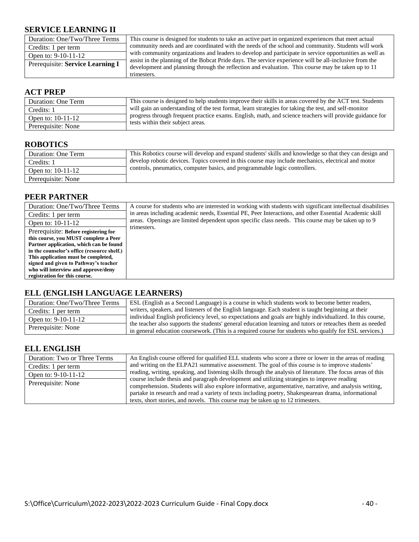#### **SERVICE LEARNING II**

| Duration: One/Two/Three Terms    | This course is designed for students to take an active part in organized experiences that meet actual   |
|----------------------------------|---------------------------------------------------------------------------------------------------------|
| Credits: 1 per term              | community needs and are coordinated with the needs of the school and community. Students will work      |
| Open to: $9-10-11-12$            | with community organizations and leaders to develop and participate in service opportunities as well as |
| Prerequisite: Service Learning I | assist in the planning of the Bobcat Pride days. The service experience will be all-inclusive from the  |
|                                  | development and planning through the reflection and evaluation. This course may be taken up to 11       |
|                                  | trimesters.                                                                                             |

#### **ACT PREP**

| Duration: One Term | This course is designed to help students improve their skills in areas covered by the ACT test. Students |
|--------------------|----------------------------------------------------------------------------------------------------------|
| Credits: 1         | will gain an understanding of the test format, learn strategies for taking the test, and self-monitor    |
| Open to: 10-11-12  | progress through frequent practice exams. English, math, and science teachers will provide guidance for  |
| Prerequisite: None | tests within their subject areas.                                                                        |

#### **ROBOTICS**

| Duration: One Term  | This Robotics course will develop and expand students' skills and knowledge so that they can design and |
|---------------------|---------------------------------------------------------------------------------------------------------|
| Credits: 1          | develop robotic devices. Topics covered in this course may include mechanics, electrical and motor      |
| Open to: $10-11-12$ | controls, pneumatics, computer basics, and programmable logic controllers.                              |
| Prerequisite: None  |                                                                                                         |

#### **PEER PARTNER**

| Duration: One/Two/Three Terms               | A course for students who are interested in working with students with significant intellectual disabilities |
|---------------------------------------------|--------------------------------------------------------------------------------------------------------------|
| Credits: 1 per term                         | in areas including academic needs, Essential PE, Peer Interactions, and other Essential Academic skill       |
| Open to: 10-11-12                           | areas. Openings are limited dependent upon specific class needs. This course may be taken up to 9            |
| Prerequisite: Before registering for        | trimesters.                                                                                                  |
| this course, you MUST complete a Peer       |                                                                                                              |
| Partner application, which can be found     |                                                                                                              |
| in the counselor's office (resource shelf.) |                                                                                                              |
| This application must be completed,         |                                                                                                              |
| signed and given to Pathway's teacher       |                                                                                                              |
| who will interview and approve/deny         |                                                                                                              |
| registration for this course.               |                                                                                                              |

#### **ELL (ENGLISH LANGUAGE LEARNERS)**

| Duration: One/Two/Three Terms | ESL (English as a Second Language) is a course in which students work to become better readers,            |
|-------------------------------|------------------------------------------------------------------------------------------------------------|
| Credits: 1 per term           | writers, speakers, and listeners of the English language. Each student is taught beginning at their        |
| Open to: 9-10-11-12           | individual English proficiency level, so expectations and goals are highly individualized. In this course, |
| Prerequisite: None            | the teacher also supports the students' general education learning and tutors or reteaches them as needed  |
|                               | in general education coursework. (This is a required course for students who qualify for ESL services.)    |

#### **ELL ENGLISH**

| Duration: Two or Three Terms | An English course offered for qualified ELL students who score a three or lower in the areas of reading      |
|------------------------------|--------------------------------------------------------------------------------------------------------------|
| Credits: 1 per term          | and writing on the ELPA21 summative assessment. The goal of this course is to improve students'              |
| Open to: $9-10-11-12$        | reading, writing, speaking, and listening skills through the analysis of literature. The focus areas of this |
| Prerequisite: None           | course include thesis and paragraph development and utilizing strategies to improve reading                  |
|                              | comprehension. Students will also explore informative, argumentative, narrative, and analysis writing,       |
|                              | partake in research and read a variety of texts including poetry, Shakespearean drama, informational         |
|                              | texts, short stories, and novels. This course may be taken up to 12 trimesters.                              |